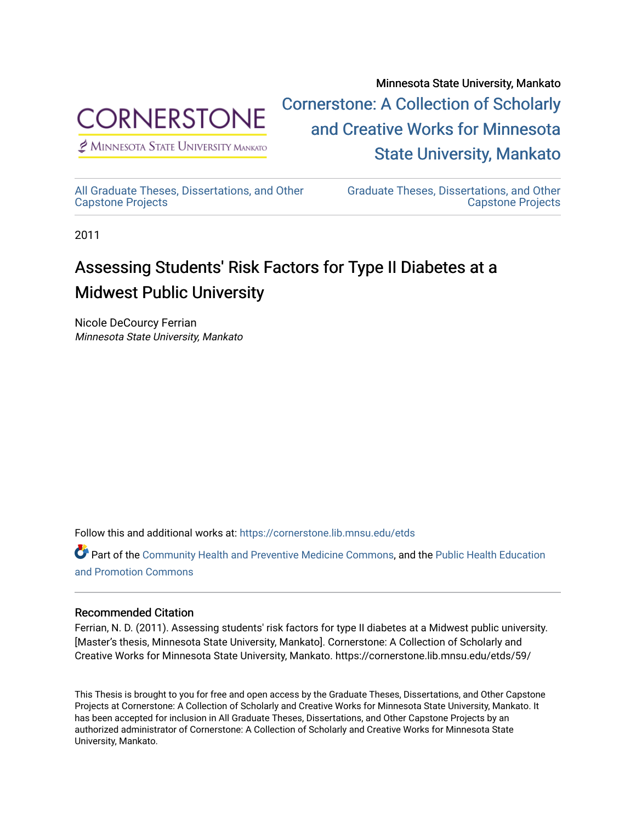

 $<sup>2</sup>$  Minnesota State University Mankato</sup>

Minnesota State University, Mankato [Cornerstone: A Collection of Scholarly](https://cornerstone.lib.mnsu.edu/)  [and Creative Works for Minnesota](https://cornerstone.lib.mnsu.edu/)  [State University, Mankato](https://cornerstone.lib.mnsu.edu/) 

[All Graduate Theses, Dissertations, and Other](https://cornerstone.lib.mnsu.edu/etds)  [Capstone Projects](https://cornerstone.lib.mnsu.edu/etds) 

[Graduate Theses, Dissertations, and Other](https://cornerstone.lib.mnsu.edu/theses_dissertations-capstone)  [Capstone Projects](https://cornerstone.lib.mnsu.edu/theses_dissertations-capstone) 

2011

# Assessing Students' Risk Factors for Type II Diabetes at a Midwest Public University

Nicole DeCourcy Ferrian Minnesota State University, Mankato

Follow this and additional works at: [https://cornerstone.lib.mnsu.edu/etds](https://cornerstone.lib.mnsu.edu/etds?utm_source=cornerstone.lib.mnsu.edu%2Fetds%2F59&utm_medium=PDF&utm_campaign=PDFCoverPages) 

Part of the [Community Health and Preventive Medicine Commons](http://network.bepress.com/hgg/discipline/744?utm_source=cornerstone.lib.mnsu.edu%2Fetds%2F59&utm_medium=PDF&utm_campaign=PDFCoverPages), and the [Public Health Education](http://network.bepress.com/hgg/discipline/743?utm_source=cornerstone.lib.mnsu.edu%2Fetds%2F59&utm_medium=PDF&utm_campaign=PDFCoverPages) [and Promotion Commons](http://network.bepress.com/hgg/discipline/743?utm_source=cornerstone.lib.mnsu.edu%2Fetds%2F59&utm_medium=PDF&utm_campaign=PDFCoverPages)

# Recommended Citation

Ferrian, N. D. (2011). Assessing students' risk factors for type II diabetes at a Midwest public university. [Master's thesis, Minnesota State University, Mankato]. Cornerstone: A Collection of Scholarly and Creative Works for Minnesota State University, Mankato. https://cornerstone.lib.mnsu.edu/etds/59/

This Thesis is brought to you for free and open access by the Graduate Theses, Dissertations, and Other Capstone Projects at Cornerstone: A Collection of Scholarly and Creative Works for Minnesota State University, Mankato. It has been accepted for inclusion in All Graduate Theses, Dissertations, and Other Capstone Projects by an authorized administrator of Cornerstone: A Collection of Scholarly and Creative Works for Minnesota State University, Mankato.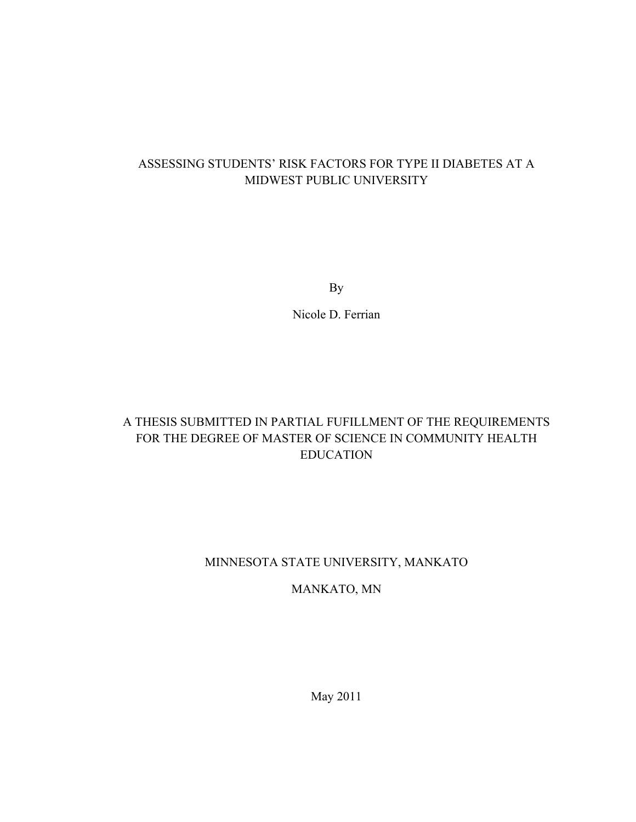# ASSESSING STUDENTS' RISK FACTORS FOR TYPE II DIABETES AT A MIDWEST PUBLIC UNIVERSITY

By

Nicole D. Ferrian

# A THESIS SUBMITTED IN PARTIAL FUFILLMENT OF THE REQUIREMENTS FOR THE DEGREE OF MASTER OF SCIENCE IN COMMUNITY HEALTH EDUCATION

# MINNESOTA STATE UNIVERSITY, MANKATO

# MANKATO, MN

May 2011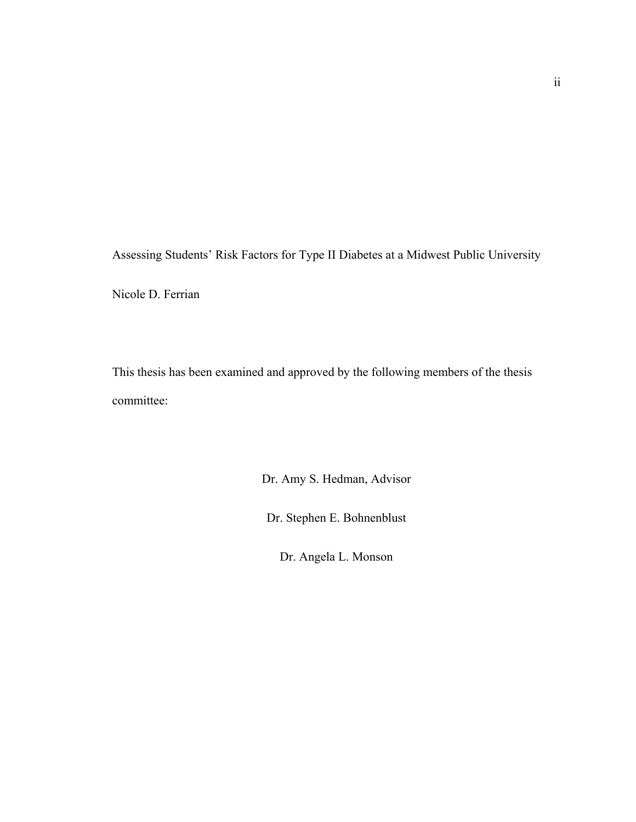Assessing Students' Risk Factors for Type II Diabetes at a Midwest Public University

Nicole D. Ferrian

This thesis has been examined and approved by the following members of the thesis committee:

Dr. Amy S. Hedman, Advisor

Dr. Stephen E. Bohnenblust

Dr. Angela L. Monson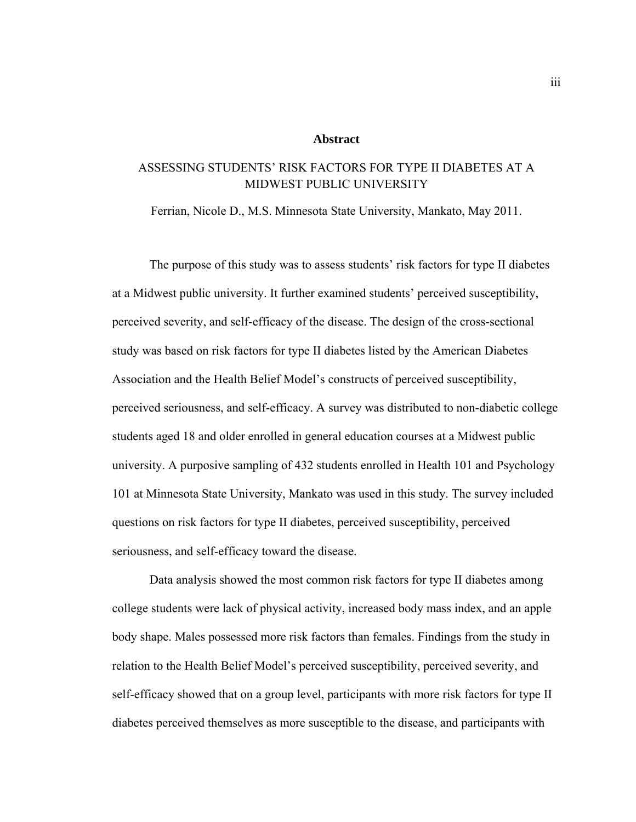### **Abstract**

# ASSESSING STUDENTS' RISK FACTORS FOR TYPE II DIABETES AT A MIDWEST PUBLIC UNIVERSITY

Ferrian, Nicole D., M.S. Minnesota State University, Mankato, May 2011.

 The purpose of this study was to assess students' risk factors for type II diabetes at a Midwest public university. It further examined students' perceived susceptibility, perceived severity, and self-efficacy of the disease. The design of the cross-sectional study was based on risk factors for type II diabetes listed by the American Diabetes Association and the Health Belief Model's constructs of perceived susceptibility, perceived seriousness, and self-efficacy. A survey was distributed to non-diabetic college students aged 18 and older enrolled in general education courses at a Midwest public university. A purposive sampling of 432 students enrolled in Health 101 and Psychology 101 at Minnesota State University, Mankato was used in this study. The survey included questions on risk factors for type II diabetes, perceived susceptibility, perceived seriousness, and self-efficacy toward the disease.

 Data analysis showed the most common risk factors for type II diabetes among college students were lack of physical activity, increased body mass index, and an apple body shape. Males possessed more risk factors than females. Findings from the study in relation to the Health Belief Model's perceived susceptibility, perceived severity, and self-efficacy showed that on a group level, participants with more risk factors for type II diabetes perceived themselves as more susceptible to the disease, and participants with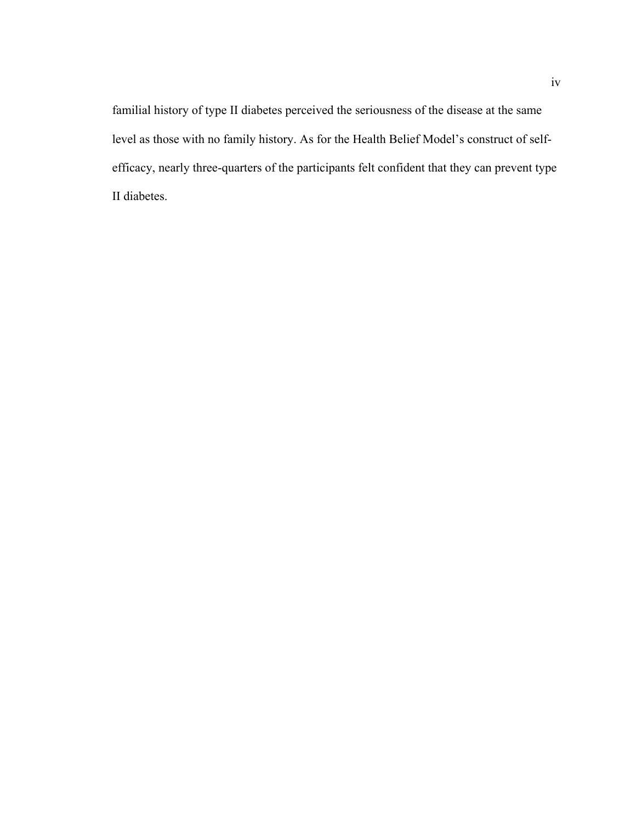familial history of type II diabetes perceived the seriousness of the disease at the same level as those with no family history. As for the Health Belief Model's construct of selfefficacy, nearly three-quarters of the participants felt confident that they can prevent type II diabetes.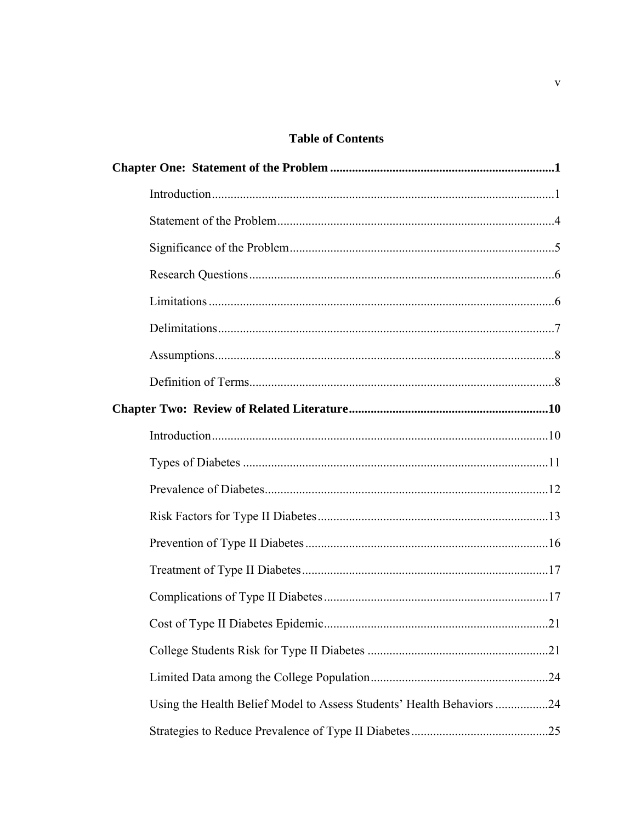# **Table of Contents**

| Using the Health Belief Model to Assess Students' Health Behaviors 24 |  |
|-----------------------------------------------------------------------|--|
|                                                                       |  |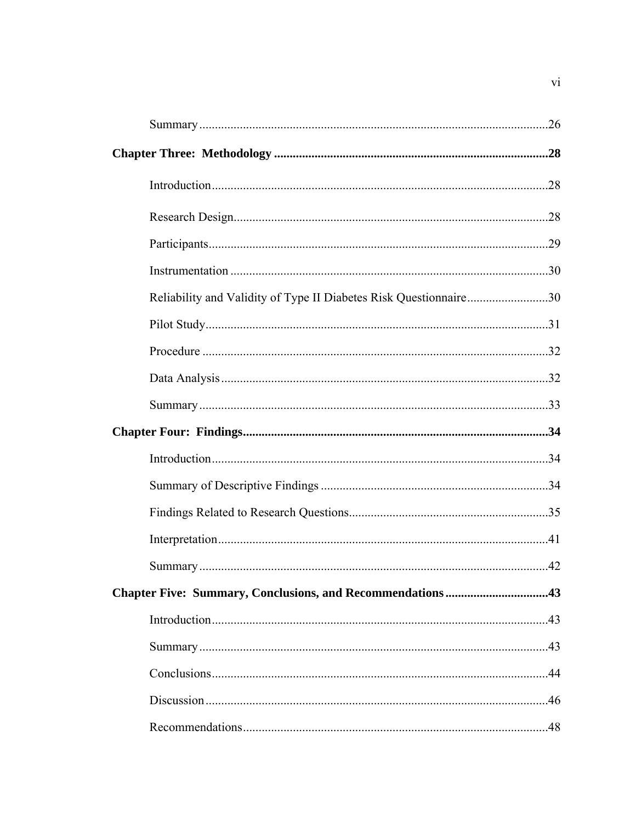| Reliability and Validity of Type II Diabetes Risk Questionnaire30 |  |
|-------------------------------------------------------------------|--|
|                                                                   |  |
|                                                                   |  |
|                                                                   |  |
|                                                                   |  |
|                                                                   |  |
|                                                                   |  |
|                                                                   |  |
|                                                                   |  |
|                                                                   |  |
|                                                                   |  |
|                                                                   |  |
|                                                                   |  |
|                                                                   |  |
|                                                                   |  |
|                                                                   |  |
|                                                                   |  |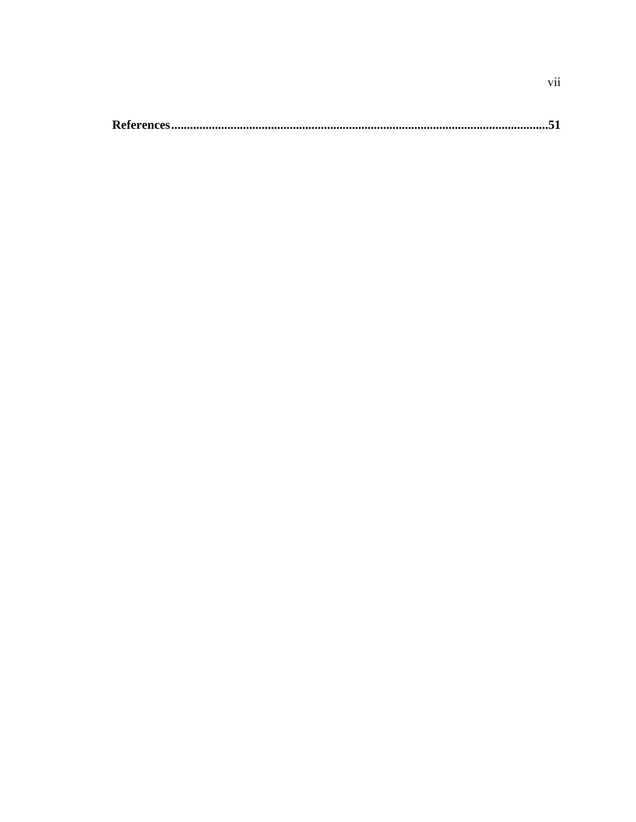|--|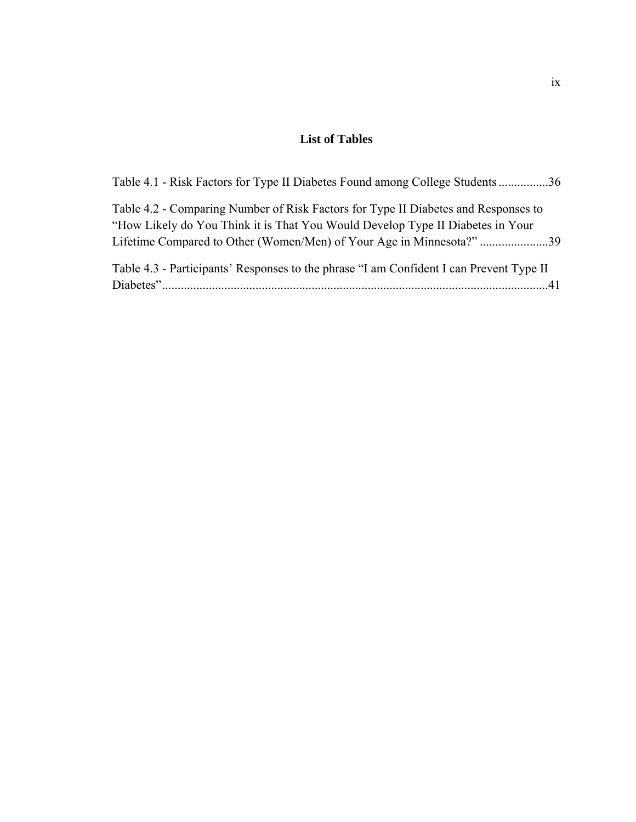# **List of Tables**

| Table 4.1 - Risk Factors for Type II Diabetes Found among College Students36                                                                                         |  |
|----------------------------------------------------------------------------------------------------------------------------------------------------------------------|--|
| Table 4.2 - Comparing Number of Risk Factors for Type II Diabetes and Responses to<br>"How Likely do You Think it is That You Would Develop Type II Diabetes in Your |  |
| Table 4.3 - Participants' Responses to the phrase "I am Confident I can Prevent Type II                                                                              |  |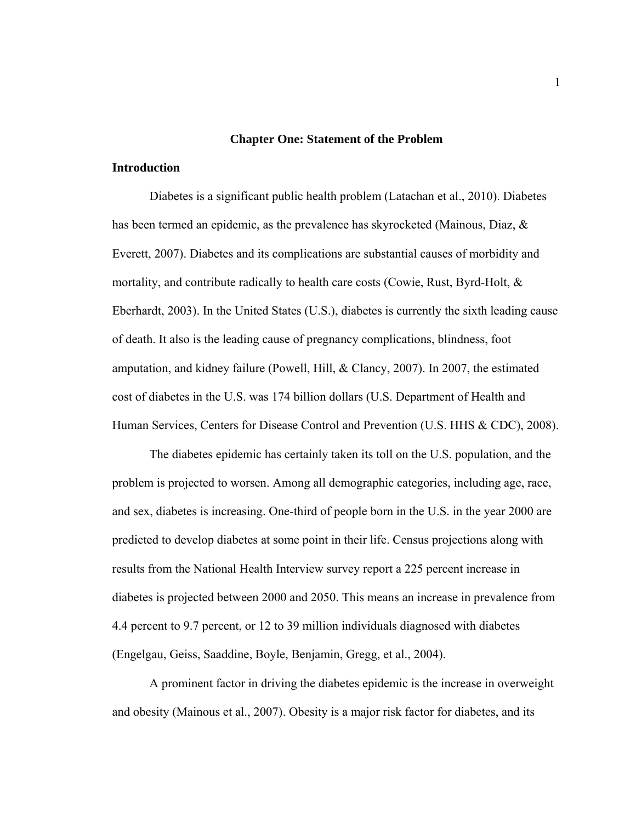#### **Chapter One: Statement of the Problem**

## **Introduction**

Diabetes is a significant public health problem (Latachan et al., 2010). Diabetes has been termed an epidemic, as the prevalence has skyrocketed (Mainous, Diaz, & Everett, 2007). Diabetes and its complications are substantial causes of morbidity and mortality, and contribute radically to health care costs (Cowie, Rust, Byrd-Holt, & Eberhardt, 2003). In the United States (U.S.), diabetes is currently the sixth leading cause of death. It also is the leading cause of pregnancy complications, blindness, foot amputation, and kidney failure (Powell, Hill, & Clancy, 2007). In 2007, the estimated cost of diabetes in the U.S. was 174 billion dollars (U.S. Department of Health and Human Services, Centers for Disease Control and Prevention (U.S. HHS & CDC), 2008).

 The diabetes epidemic has certainly taken its toll on the U.S. population, and the problem is projected to worsen. Among all demographic categories, including age, race, and sex, diabetes is increasing. One-third of people born in the U.S. in the year 2000 are predicted to develop diabetes at some point in their life. Census projections along with results from the National Health Interview survey report a 225 percent increase in diabetes is projected between 2000 and 2050. This means an increase in prevalence from 4.4 percent to 9.7 percent, or 12 to 39 million individuals diagnosed with diabetes (Engelgau, Geiss, Saaddine, Boyle, Benjamin, Gregg, et al., 2004).

A prominent factor in driving the diabetes epidemic is the increase in overweight and obesity (Mainous et al., 2007). Obesity is a major risk factor for diabetes, and its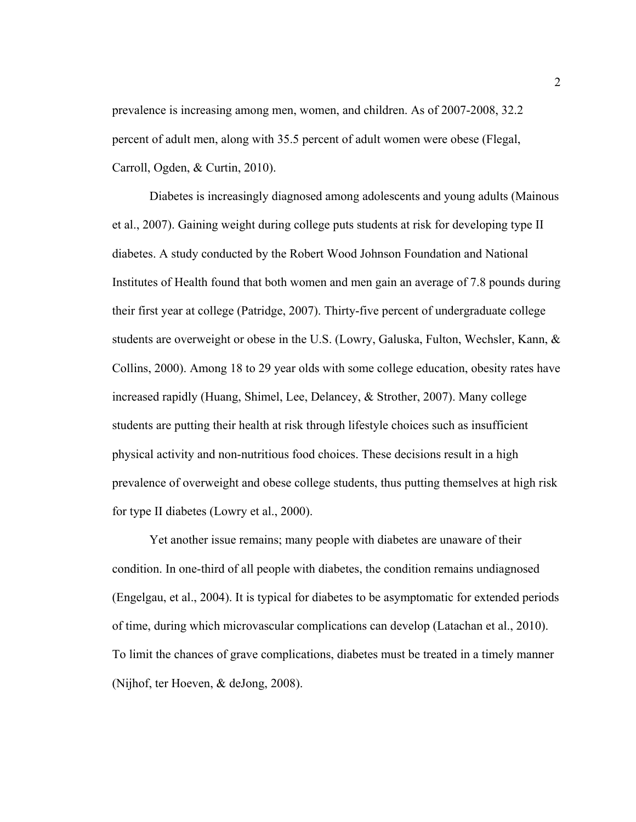prevalence is increasing among men, women, and children. As of 2007-2008, 32.2 percent of adult men, along with 35.5 percent of adult women were obese (Flegal, Carroll, Ogden, & Curtin, 2010).

 Diabetes is increasingly diagnosed among adolescents and young adults (Mainous et al., 2007). Gaining weight during college puts students at risk for developing type II diabetes. A study conducted by the Robert Wood Johnson Foundation and National Institutes of Health found that both women and men gain an average of 7.8 pounds during their first year at college (Patridge, 2007). Thirty-five percent of undergraduate college students are overweight or obese in the U.S. (Lowry, Galuska, Fulton, Wechsler, Kann, & Collins, 2000). Among 18 to 29 year olds with some college education, obesity rates have increased rapidly (Huang, Shimel, Lee, Delancey, & Strother, 2007). Many college students are putting their health at risk through lifestyle choices such as insufficient physical activity and non-nutritious food choices. These decisions result in a high prevalence of overweight and obese college students, thus putting themselves at high risk for type II diabetes (Lowry et al., 2000).

 Yet another issue remains; many people with diabetes are unaware of their condition. In one-third of all people with diabetes, the condition remains undiagnosed (Engelgau, et al., 2004). It is typical for diabetes to be asymptomatic for extended periods of time, during which microvascular complications can develop (Latachan et al., 2010). To limit the chances of grave complications, diabetes must be treated in a timely manner (Nijhof, ter Hoeven, & deJong, 2008).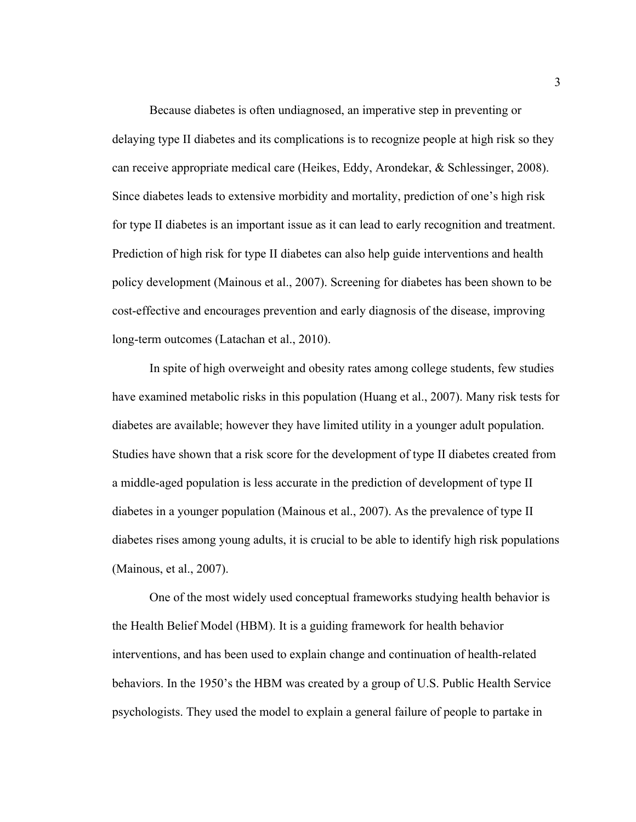Because diabetes is often undiagnosed, an imperative step in preventing or delaying type II diabetes and its complications is to recognize people at high risk so they can receive appropriate medical care (Heikes, Eddy, Arondekar, & Schlessinger, 2008). Since diabetes leads to extensive morbidity and mortality, prediction of one's high risk for type II diabetes is an important issue as it can lead to early recognition and treatment. Prediction of high risk for type II diabetes can also help guide interventions and health policy development (Mainous et al., 2007). Screening for diabetes has been shown to be cost-effective and encourages prevention and early diagnosis of the disease, improving long-term outcomes (Latachan et al., 2010).

 In spite of high overweight and obesity rates among college students, few studies have examined metabolic risks in this population (Huang et al., 2007). Many risk tests for diabetes are available; however they have limited utility in a younger adult population. Studies have shown that a risk score for the development of type II diabetes created from a middle-aged population is less accurate in the prediction of development of type II diabetes in a younger population (Mainous et al., 2007). As the prevalence of type II diabetes rises among young adults, it is crucial to be able to identify high risk populations (Mainous, et al., 2007).

 One of the most widely used conceptual frameworks studying health behavior is the Health Belief Model (HBM). It is a guiding framework for health behavior interventions, and has been used to explain change and continuation of health-related behaviors. In the 1950's the HBM was created by a group of U.S. Public Health Service psychologists. They used the model to explain a general failure of people to partake in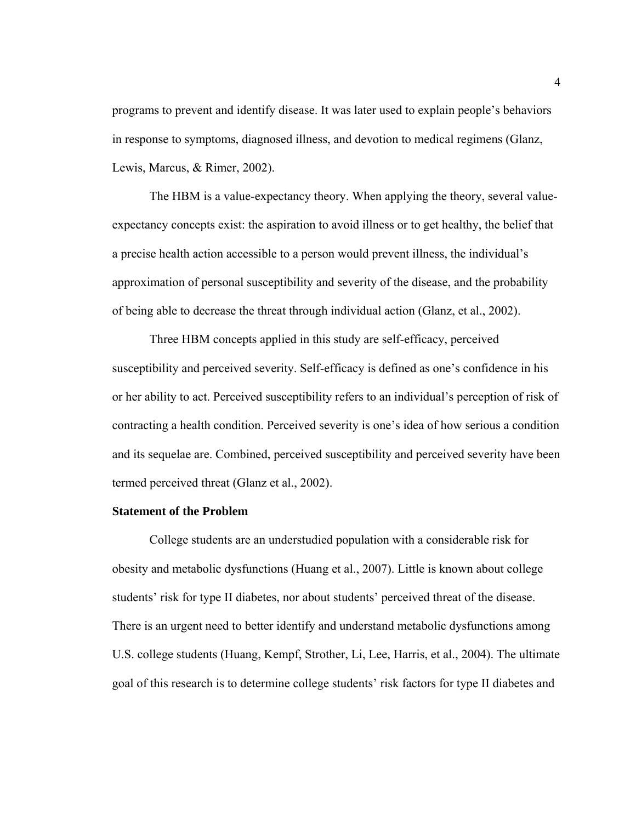programs to prevent and identify disease. It was later used to explain people's behaviors in response to symptoms, diagnosed illness, and devotion to medical regimens (Glanz, Lewis, Marcus, & Rimer, 2002).

 The HBM is a value-expectancy theory. When applying the theory, several valueexpectancy concepts exist: the aspiration to avoid illness or to get healthy, the belief that a precise health action accessible to a person would prevent illness, the individual's approximation of personal susceptibility and severity of the disease, and the probability of being able to decrease the threat through individual action (Glanz, et al., 2002).

 Three HBM concepts applied in this study are self-efficacy, perceived susceptibility and perceived severity. Self-efficacy is defined as one's confidence in his or her ability to act. Perceived susceptibility refers to an individual's perception of risk of contracting a health condition. Perceived severity is one's idea of how serious a condition and its sequelae are. Combined, perceived susceptibility and perceived severity have been termed perceived threat (Glanz et al., 2002).

# **Statement of the Problem**

 College students are an understudied population with a considerable risk for obesity and metabolic dysfunctions (Huang et al., 2007). Little is known about college students' risk for type II diabetes, nor about students' perceived threat of the disease. There is an urgent need to better identify and understand metabolic dysfunctions among U.S. college students (Huang, Kempf, Strother, Li, Lee, Harris, et al., 2004). The ultimate goal of this research is to determine college students' risk factors for type II diabetes and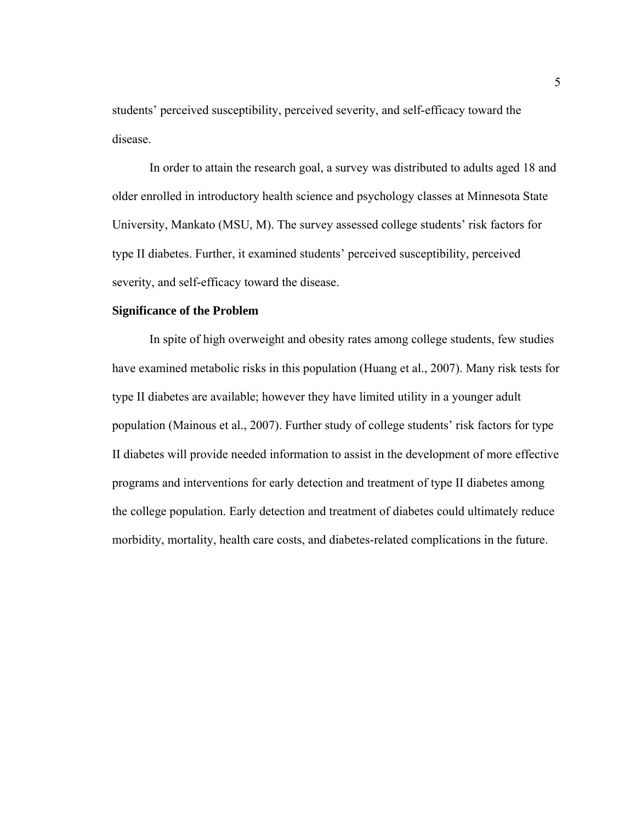students' perceived susceptibility, perceived severity, and self-efficacy toward the disease.

In order to attain the research goal, a survey was distributed to adults aged 18 and older enrolled in introductory health science and psychology classes at Minnesota State University, Mankato (MSU, M). The survey assessed college students' risk factors for type II diabetes. Further, it examined students' perceived susceptibility, perceived severity, and self-efficacy toward the disease.

# **Significance of the Problem**

 In spite of high overweight and obesity rates among college students, few studies have examined metabolic risks in this population (Huang et al., 2007). Many risk tests for type II diabetes are available; however they have limited utility in a younger adult population (Mainous et al., 2007). Further study of college students' risk factors for type II diabetes will provide needed information to assist in the development of more effective programs and interventions for early detection and treatment of type II diabetes among the college population. Early detection and treatment of diabetes could ultimately reduce morbidity, mortality, health care costs, and diabetes-related complications in the future.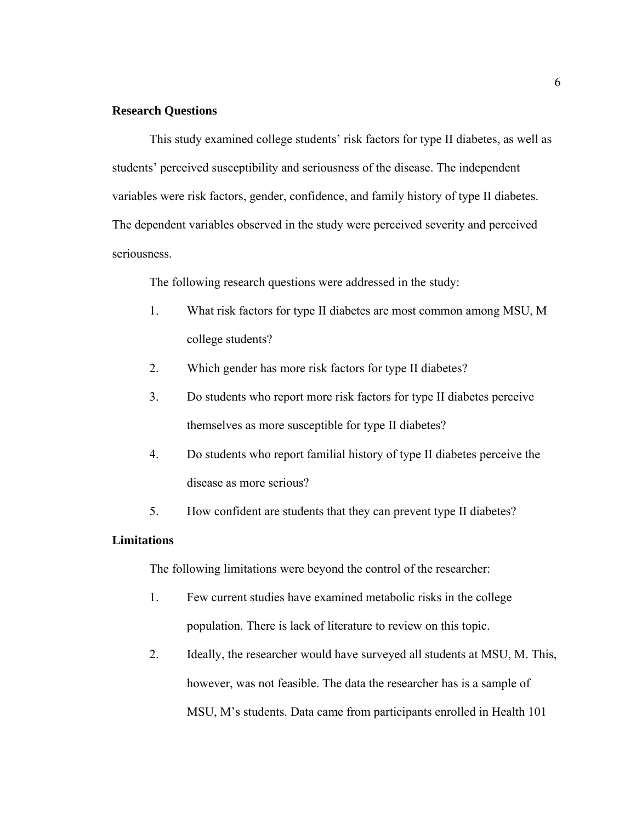# **Research Questions**

This study examined college students' risk factors for type II diabetes, as well as students' perceived susceptibility and seriousness of the disease. The independent variables were risk factors, gender, confidence, and family history of type II diabetes. The dependent variables observed in the study were perceived severity and perceived seriousness.

The following research questions were addressed in the study:

- 1. What risk factors for type II diabetes are most common among MSU, M college students?
- 2. Which gender has more risk factors for type II diabetes?
- 3. Do students who report more risk factors for type II diabetes perceive themselves as more susceptible for type II diabetes?
- 4. Do students who report familial history of type II diabetes perceive the disease as more serious?
- 5. How confident are students that they can prevent type II diabetes?

### **Limitations**

The following limitations were beyond the control of the researcher:

- 1. Few current studies have examined metabolic risks in the college population. There is lack of literature to review on this topic.
- 2. Ideally, the researcher would have surveyed all students at MSU, M. This, however, was not feasible. The data the researcher has is a sample of MSU, M's students. Data came from participants enrolled in Health 101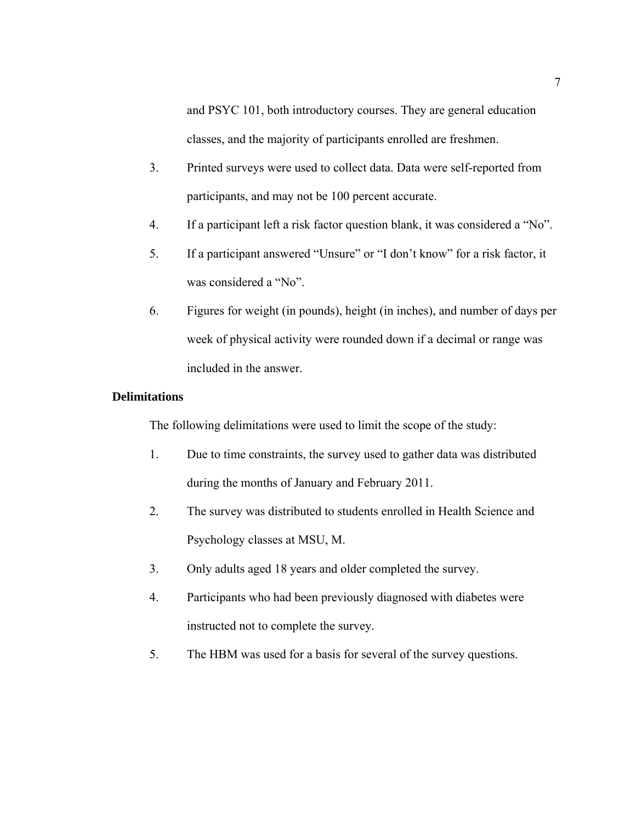and PSYC 101, both introductory courses. They are general education classes, and the majority of participants enrolled are freshmen.

- 3. Printed surveys were used to collect data. Data were self-reported from participants, and may not be 100 percent accurate.
- 4. If a participant left a risk factor question blank, it was considered a "No".
- 5. If a participant answered "Unsure" or "I don't know" for a risk factor, it was considered a "No".
- 6. Figures for weight (in pounds), height (in inches), and number of days per week of physical activity were rounded down if a decimal or range was included in the answer.

# **Delimitations**

The following delimitations were used to limit the scope of the study:

- 1. Due to time constraints, the survey used to gather data was distributed during the months of January and February 2011.
- 2. The survey was distributed to students enrolled in Health Science and Psychology classes at MSU, M.
- 3. Only adults aged 18 years and older completed the survey.
- 4. Participants who had been previously diagnosed with diabetes were instructed not to complete the survey.
- 5. The HBM was used for a basis for several of the survey questions.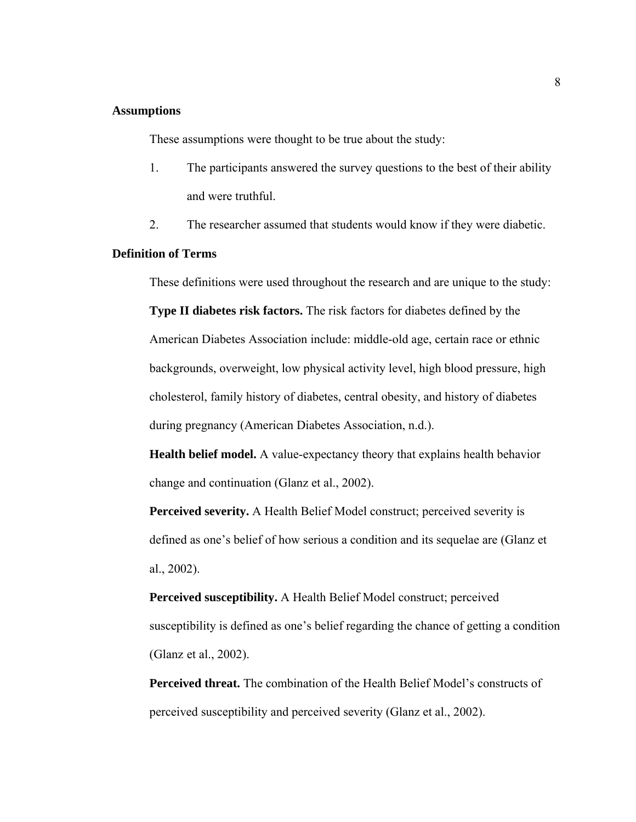# **Assumptions**

These assumptions were thought to be true about the study:

- 1. The participants answered the survey questions to the best of their ability and were truthful.
- 2. The researcher assumed that students would know if they were diabetic.

# **Definition of Terms**

These definitions were used throughout the research and are unique to the study:

**Type II diabetes risk factors.** The risk factors for diabetes defined by the American Diabetes Association include: middle-old age, certain race or ethnic backgrounds, overweight, low physical activity level, high blood pressure, high cholesterol, family history of diabetes, central obesity, and history of diabetes during pregnancy (American Diabetes Association, n.d.).

**Health belief model.** A value-expectancy theory that explains health behavior change and continuation (Glanz et al., 2002).

 **Perceived severity.** A Health Belief Model construct; perceived severity is defined as one's belief of how serious a condition and its sequelae are (Glanz et al., 2002).

 **Perceived susceptibility.** A Health Belief Model construct; perceived susceptibility is defined as one's belief regarding the chance of getting a condition (Glanz et al., 2002).

**Perceived threat.** The combination of the Health Belief Model's constructs of perceived susceptibility and perceived severity (Glanz et al., 2002).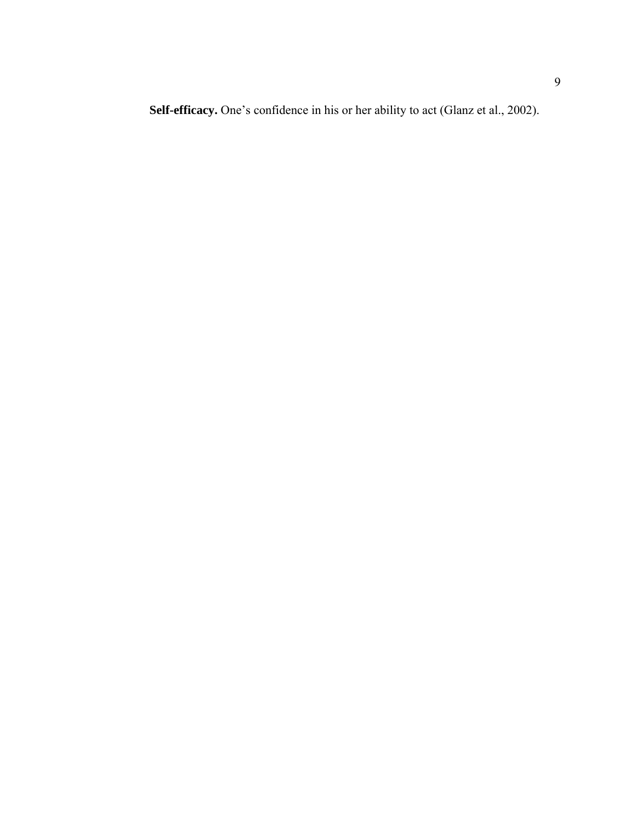**Self-efficacy.** One's confidence in his or her ability to act (Glanz et al., 2002).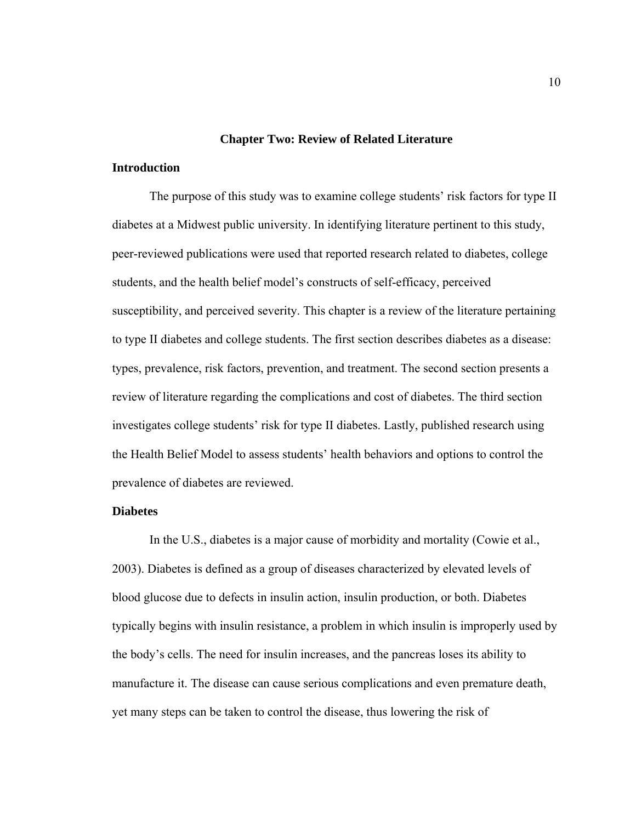### **Chapter Two: Review of Related Literature**

# **Introduction**

 The purpose of this study was to examine college students' risk factors for type II diabetes at a Midwest public university. In identifying literature pertinent to this study, peer-reviewed publications were used that reported research related to diabetes, college students, and the health belief model's constructs of self-efficacy, perceived susceptibility, and perceived severity. This chapter is a review of the literature pertaining to type II diabetes and college students. The first section describes diabetes as a disease: types, prevalence, risk factors, prevention, and treatment. The second section presents a review of literature regarding the complications and cost of diabetes. The third section investigates college students' risk for type II diabetes. Lastly, published research using the Health Belief Model to assess students' health behaviors and options to control the prevalence of diabetes are reviewed.

# **Diabetes**

In the U.S., diabetes is a major cause of morbidity and mortality (Cowie et al., 2003). Diabetes is defined as a group of diseases characterized by elevated levels of blood glucose due to defects in insulin action, insulin production, or both. Diabetes typically begins with insulin resistance, a problem in which insulin is improperly used by the body's cells. The need for insulin increases, and the pancreas loses its ability to manufacture it. The disease can cause serious complications and even premature death, yet many steps can be taken to control the disease, thus lowering the risk of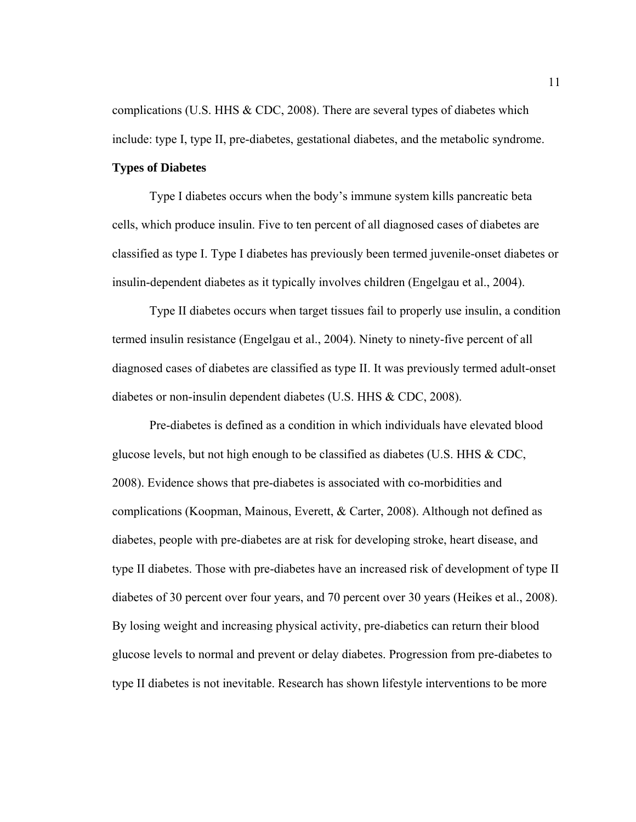complications (U.S. HHS & CDC, 2008). There are several types of diabetes which include: type I, type II, pre-diabetes, gestational diabetes, and the metabolic syndrome.

# **Types of Diabetes**

Type I diabetes occurs when the body's immune system kills pancreatic beta cells, which produce insulin. Five to ten percent of all diagnosed cases of diabetes are classified as type I. Type I diabetes has previously been termed juvenile-onset diabetes or insulin-dependent diabetes as it typically involves children (Engelgau et al., 2004).

 Type II diabetes occurs when target tissues fail to properly use insulin, a condition termed insulin resistance (Engelgau et al., 2004). Ninety to ninety-five percent of all diagnosed cases of diabetes are classified as type II. It was previously termed adult-onset diabetes or non-insulin dependent diabetes (U.S. HHS & CDC, 2008).

 Pre-diabetes is defined as a condition in which individuals have elevated blood glucose levels, but not high enough to be classified as diabetes (U.S. HHS & CDC, 2008). Evidence shows that pre-diabetes is associated with co-morbidities and complications (Koopman, Mainous, Everett, & Carter, 2008). Although not defined as diabetes, people with pre-diabetes are at risk for developing stroke, heart disease, and type II diabetes. Those with pre-diabetes have an increased risk of development of type II diabetes of 30 percent over four years, and 70 percent over 30 years (Heikes et al., 2008). By losing weight and increasing physical activity, pre-diabetics can return their blood glucose levels to normal and prevent or delay diabetes. Progression from pre-diabetes to type II diabetes is not inevitable. Research has shown lifestyle interventions to be more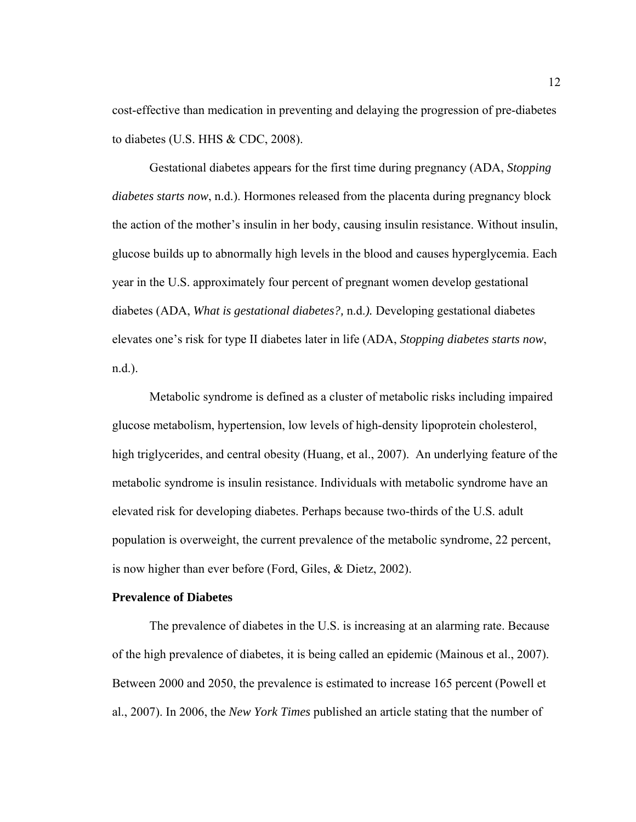cost-effective than medication in preventing and delaying the progression of pre-diabetes to diabetes (U.S. HHS & CDC, 2008).

 Gestational diabetes appears for the first time during pregnancy (ADA, *Stopping diabetes starts now*, n.d.). Hormones released from the placenta during pregnancy block the action of the mother's insulin in her body, causing insulin resistance. Without insulin, glucose builds up to abnormally high levels in the blood and causes hyperglycemia. Each year in the U.S. approximately four percent of pregnant women develop gestational diabetes (ADA, *What is gestational diabetes?,* n.d.*).* Developing gestational diabetes elevates one's risk for type II diabetes later in life (ADA, *Stopping diabetes starts now*, n.d.).

 Metabolic syndrome is defined as a cluster of metabolic risks including impaired glucose metabolism, hypertension, low levels of high-density lipoprotein cholesterol, high triglycerides, and central obesity (Huang, et al., 2007). An underlying feature of the metabolic syndrome is insulin resistance. Individuals with metabolic syndrome have an elevated risk for developing diabetes. Perhaps because two-thirds of the U.S. adult population is overweight, the current prevalence of the metabolic syndrome, 22 percent, is now higher than ever before (Ford, Giles, & Dietz, 2002).

## **Prevalence of Diabetes**

 The prevalence of diabetes in the U.S. is increasing at an alarming rate. Because of the high prevalence of diabetes, it is being called an epidemic (Mainous et al., 2007). Between 2000 and 2050, the prevalence is estimated to increase 165 percent (Powell et al., 2007). In 2006, the *New York Times* published an article stating that the number of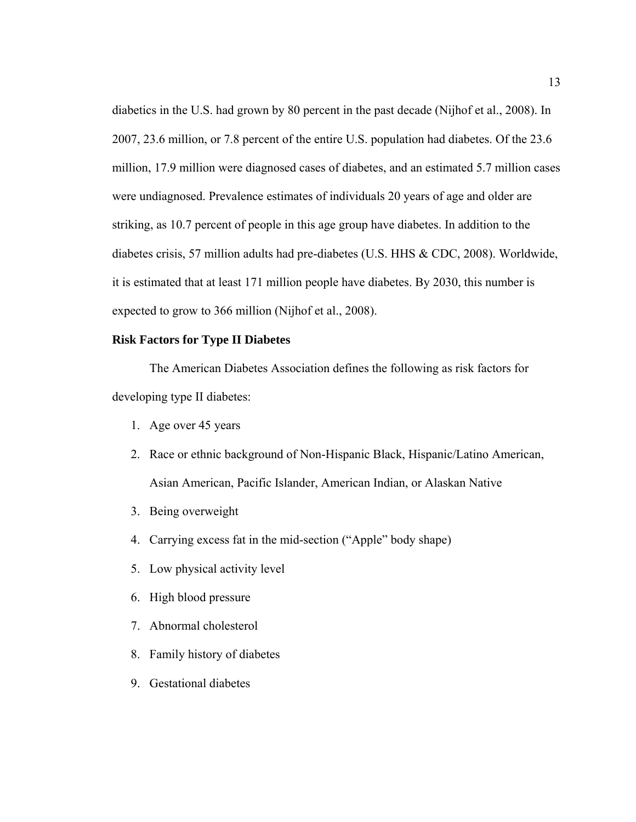diabetics in the U.S. had grown by 80 percent in the past decade (Nijhof et al., 2008). In 2007, 23.6 million, or 7.8 percent of the entire U.S. population had diabetes. Of the 23.6 million, 17.9 million were diagnosed cases of diabetes, and an estimated 5.7 million cases were undiagnosed. Prevalence estimates of individuals 20 years of age and older are striking, as 10.7 percent of people in this age group have diabetes. In addition to the diabetes crisis, 57 million adults had pre-diabetes (U.S. HHS & CDC, 2008). Worldwide, it is estimated that at least 171 million people have diabetes. By 2030, this number is expected to grow to 366 million (Nijhof et al., 2008).

# **Risk Factors for Type II Diabetes**

 The American Diabetes Association defines the following as risk factors for developing type II diabetes:

- 1. Age over 45 years
- 2. Race or ethnic background of Non-Hispanic Black, Hispanic/Latino American, Asian American, Pacific Islander, American Indian, or Alaskan Native
- 3. Being overweight
- 4. Carrying excess fat in the mid-section ("Apple" body shape)
- 5. Low physical activity level
- 6. High blood pressure
- 7. Abnormal cholesterol
- 8. Family history of diabetes
- 9. Gestational diabetes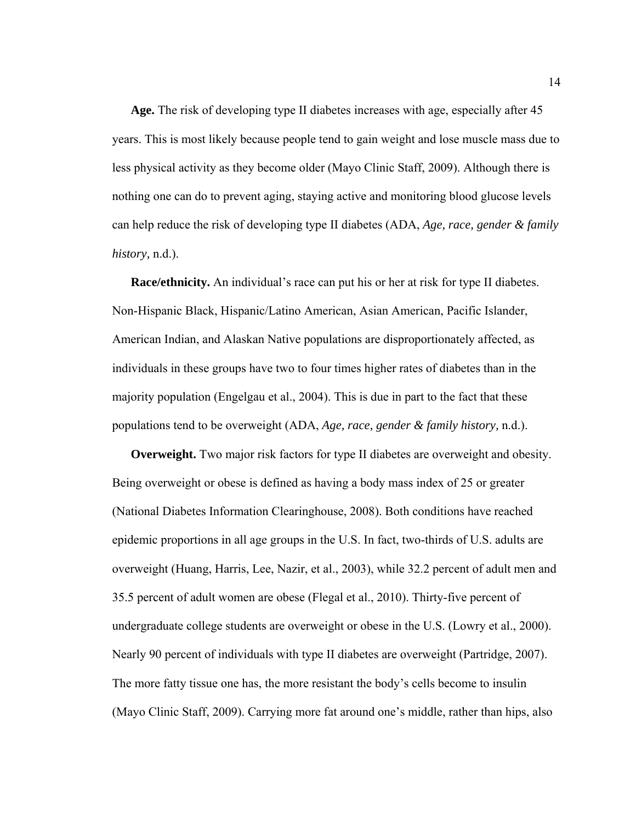**Age.** The risk of developing type II diabetes increases with age, especially after 45 years. This is most likely because people tend to gain weight and lose muscle mass due to less physical activity as they become older (Mayo Clinic Staff, 2009). Although there is nothing one can do to prevent aging, staying active and monitoring blood glucose levels can help reduce the risk of developing type II diabetes (ADA, *Age, race, gender & family history,* n.d.).

**Race/ethnicity.** An individual's race can put his or her at risk for type II diabetes. Non-Hispanic Black, Hispanic/Latino American, Asian American, Pacific Islander, American Indian, and Alaskan Native populations are disproportionately affected, as individuals in these groups have two to four times higher rates of diabetes than in the majority population (Engelgau et al., 2004). This is due in part to the fact that these populations tend to be overweight (ADA, *Age, race, gender & family history,* n.d.).

**Overweight.** Two major risk factors for type II diabetes are overweight and obesity. Being overweight or obese is defined as having a body mass index of 25 or greater (National Diabetes Information Clearinghouse, 2008). Both conditions have reached epidemic proportions in all age groups in the U.S. In fact, two-thirds of U.S. adults are overweight (Huang, Harris, Lee, Nazir, et al., 2003), while 32.2 percent of adult men and 35.5 percent of adult women are obese (Flegal et al., 2010). Thirty-five percent of undergraduate college students are overweight or obese in the U.S. (Lowry et al., 2000). Nearly 90 percent of individuals with type II diabetes are overweight (Partridge, 2007). The more fatty tissue one has, the more resistant the body's cells become to insulin (Mayo Clinic Staff, 2009). Carrying more fat around one's middle, rather than hips, also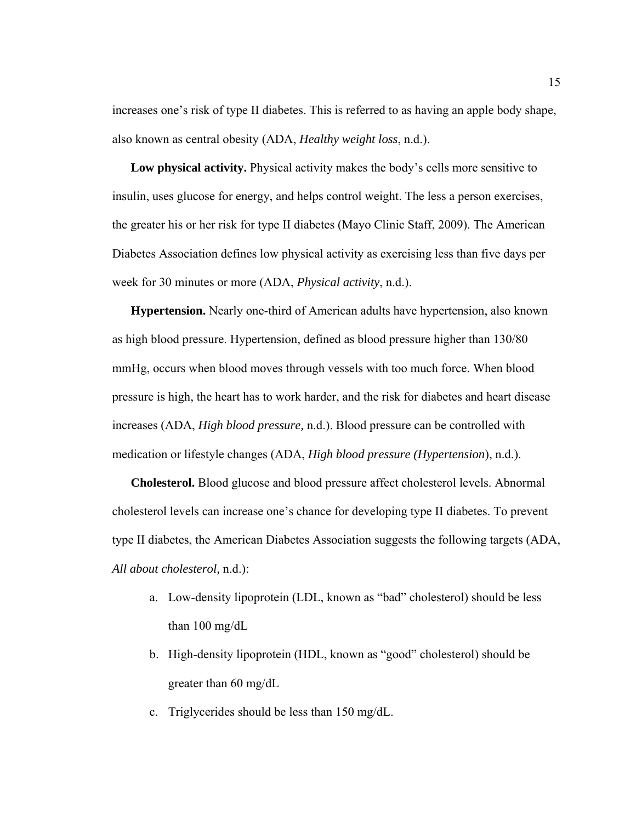increases one's risk of type II diabetes. This is referred to as having an apple body shape, also known as central obesity (ADA, *Healthy weight loss*, n.d.).

**Low physical activity.** Physical activity makes the body's cells more sensitive to insulin, uses glucose for energy, and helps control weight. The less a person exercises, the greater his or her risk for type II diabetes (Mayo Clinic Staff, 2009). The American Diabetes Association defines low physical activity as exercising less than five days per week for 30 minutes or more (ADA, *Physical activity*, n.d.).

**Hypertension.** Nearly one-third of American adults have hypertension, also known as high blood pressure. Hypertension, defined as blood pressure higher than 130/80 mmHg, occurs when blood moves through vessels with too much force. When blood pressure is high, the heart has to work harder, and the risk for diabetes and heart disease increases (ADA, *High blood pressure,* n.d.). Blood pressure can be controlled with medication or lifestyle changes (ADA, *High blood pressure (Hypertension*), n.d.).

**Cholesterol.** Blood glucose and blood pressure affect cholesterol levels. Abnormal cholesterol levels can increase one's chance for developing type II diabetes. To prevent type II diabetes, the American Diabetes Association suggests the following targets (ADA, *All about cholesterol,* n.d.):

- a. Low-density lipoprotein (LDL, known as "bad" cholesterol) should be less than 100 mg/dL
- b. High-density lipoprotein (HDL, known as "good" cholesterol) should be greater than 60 mg/dL
- c. Triglycerides should be less than 150 mg/dL.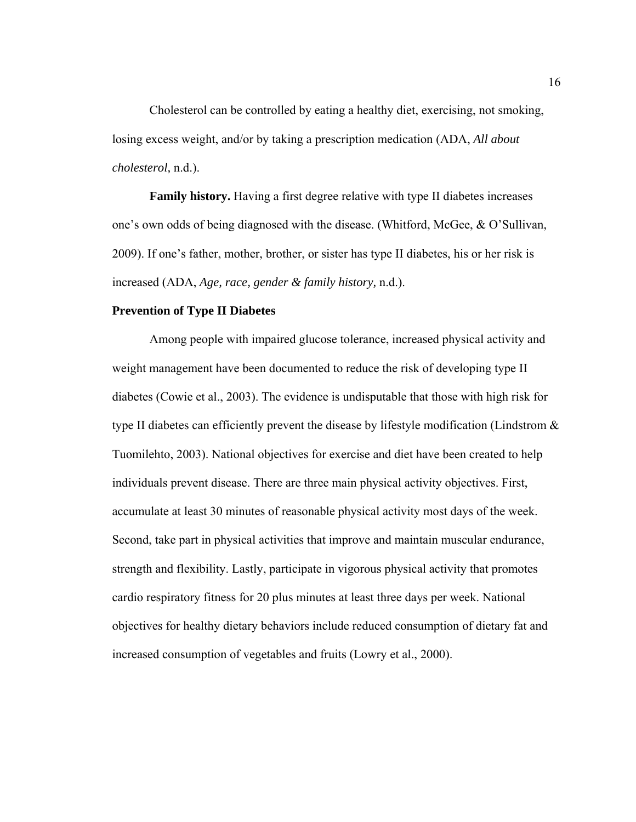Cholesterol can be controlled by eating a healthy diet, exercising, not smoking, losing excess weight, and/or by taking a prescription medication (ADA, *All about cholesterol,* n.d.).

**Family history.** Having a first degree relative with type II diabetes increases one's own odds of being diagnosed with the disease. (Whitford, McGee, & O'Sullivan, 2009). If one's father, mother, brother, or sister has type II diabetes, his or her risk is increased (ADA, *Age, race, gender & family history,* n.d.).

## **Prevention of Type II Diabetes**

 Among people with impaired glucose tolerance, increased physical activity and weight management have been documented to reduce the risk of developing type II diabetes (Cowie et al., 2003). The evidence is undisputable that those with high risk for type II diabetes can efficiently prevent the disease by lifestyle modification (Lindstrom  $\&$ Tuomilehto, 2003). National objectives for exercise and diet have been created to help individuals prevent disease. There are three main physical activity objectives. First, accumulate at least 30 minutes of reasonable physical activity most days of the week. Second, take part in physical activities that improve and maintain muscular endurance, strength and flexibility. Lastly, participate in vigorous physical activity that promotes cardio respiratory fitness for 20 plus minutes at least three days per week. National objectives for healthy dietary behaviors include reduced consumption of dietary fat and increased consumption of vegetables and fruits (Lowry et al., 2000).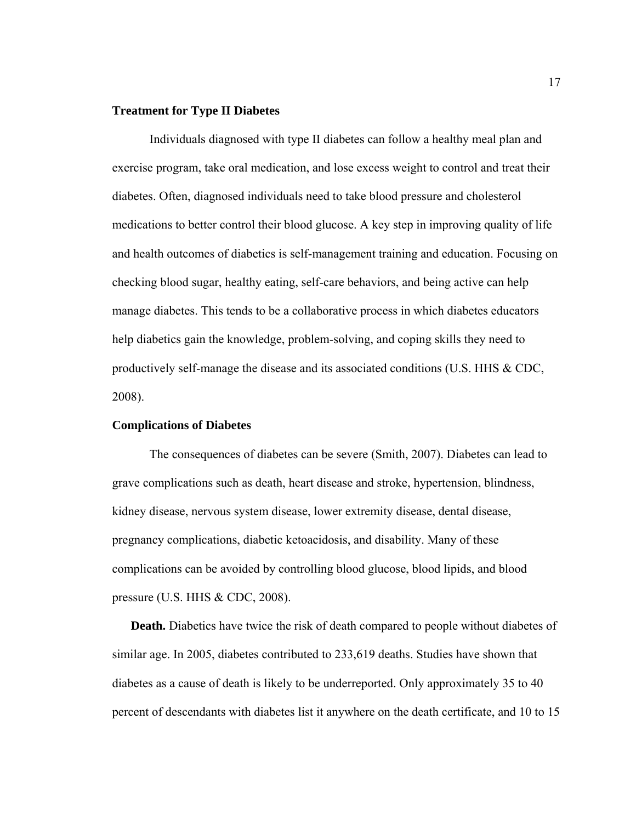# **Treatment for Type II Diabetes**

 Individuals diagnosed with type II diabetes can follow a healthy meal plan and exercise program, take oral medication, and lose excess weight to control and treat their diabetes. Often, diagnosed individuals need to take blood pressure and cholesterol medications to better control their blood glucose. A key step in improving quality of life and health outcomes of diabetics is self-management training and education. Focusing on checking blood sugar, healthy eating, self-care behaviors, and being active can help manage diabetes. This tends to be a collaborative process in which diabetes educators help diabetics gain the knowledge, problem-solving, and coping skills they need to productively self-manage the disease and its associated conditions (U.S. HHS & CDC, 2008).

# **Complications of Diabetes**

The consequences of diabetes can be severe (Smith, 2007). Diabetes can lead to grave complications such as death, heart disease and stroke, hypertension, blindness, kidney disease, nervous system disease, lower extremity disease, dental disease, pregnancy complications, diabetic ketoacidosis, and disability. Many of these complications can be avoided by controlling blood glucose, blood lipids, and blood pressure (U.S. HHS & CDC, 2008).

**Death.** Diabetics have twice the risk of death compared to people without diabetes of similar age. In 2005, diabetes contributed to 233,619 deaths. Studies have shown that diabetes as a cause of death is likely to be underreported. Only approximately 35 to 40 percent of descendants with diabetes list it anywhere on the death certificate, and 10 to 15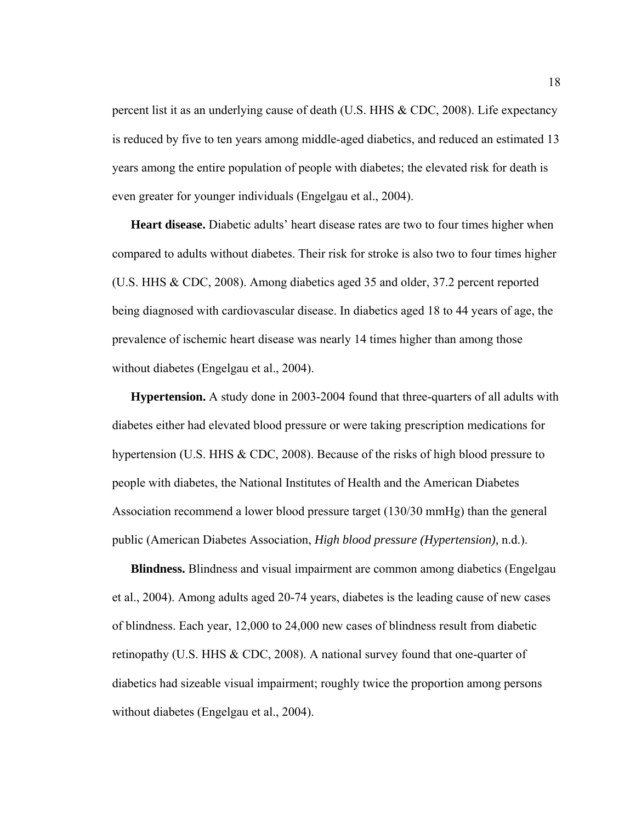percent list it as an underlying cause of death (U.S. HHS & CDC, 2008). Life expectancy is reduced by five to ten years among middle-aged diabetics, and reduced an estimated 13 years among the entire population of people with diabetes; the elevated risk for death is even greater for younger individuals (Engelgau et al., 2004).

**Heart disease.** Diabetic adults' heart disease rates are two to four times higher when compared to adults without diabetes. Their risk for stroke is also two to four times higher (U.S. HHS & CDC, 2008). Among diabetics aged 35 and older, 37.2 percent reported being diagnosed with cardiovascular disease. In diabetics aged 18 to 44 years of age, the prevalence of ischemic heart disease was nearly 14 times higher than among those without diabetes (Engelgau et al., 2004).

**Hypertension.** A study done in 2003-2004 found that three-quarters of all adults with diabetes either had elevated blood pressure or were taking prescription medications for hypertension (U.S. HHS & CDC, 2008). Because of the risks of high blood pressure to people with diabetes, the National Institutes of Health and the American Diabetes Association recommend a lower blood pressure target (130/30 mmHg) than the general public (American Diabetes Association, *High blood pressure (Hypertension),* n.d.).

**Blindness.** Blindness and visual impairment are common among diabetics (Engelgau et al., 2004). Among adults aged 20-74 years, diabetes is the leading cause of new cases of blindness. Each year, 12,000 to 24,000 new cases of blindness result from diabetic retinopathy (U.S. HHS & CDC, 2008). A national survey found that one-quarter of diabetics had sizeable visual impairment; roughly twice the proportion among persons without diabetes (Engelgau et al., 2004).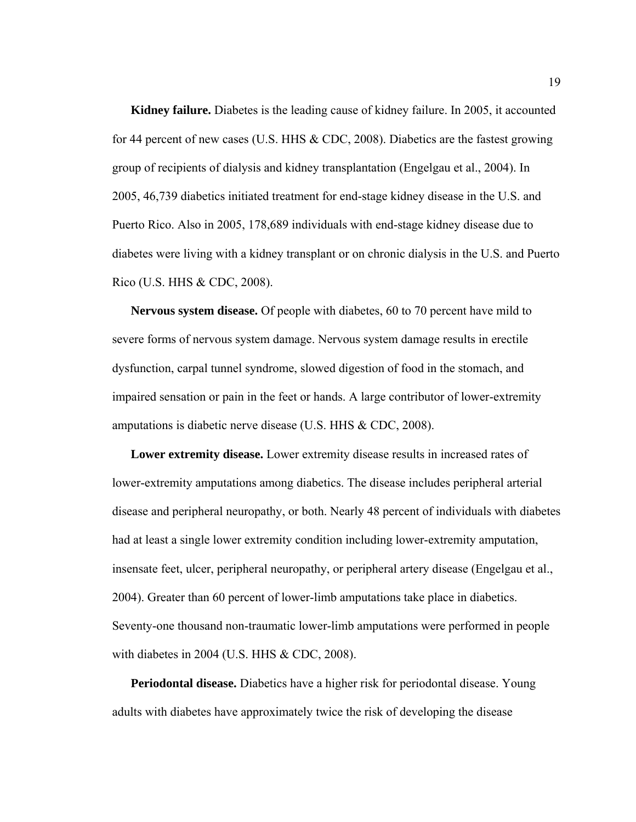**Kidney failure.** Diabetes is the leading cause of kidney failure. In 2005, it accounted for 44 percent of new cases (U.S. HHS & CDC, 2008). Diabetics are the fastest growing group of recipients of dialysis and kidney transplantation (Engelgau et al., 2004). In 2005, 46,739 diabetics initiated treatment for end-stage kidney disease in the U.S. and Puerto Rico. Also in 2005, 178,689 individuals with end-stage kidney disease due to diabetes were living with a kidney transplant or on chronic dialysis in the U.S. and Puerto Rico (U.S. HHS & CDC, 2008).

**Nervous system disease.** Of people with diabetes, 60 to 70 percent have mild to severe forms of nervous system damage. Nervous system damage results in erectile dysfunction, carpal tunnel syndrome, slowed digestion of food in the stomach, and impaired sensation or pain in the feet or hands. A large contributor of lower-extremity amputations is diabetic nerve disease (U.S. HHS & CDC, 2008).

**Lower extremity disease.** Lower extremity disease results in increased rates of lower-extremity amputations among diabetics. The disease includes peripheral arterial disease and peripheral neuropathy, or both. Nearly 48 percent of individuals with diabetes had at least a single lower extremity condition including lower-extremity amputation, insensate feet, ulcer, peripheral neuropathy, or peripheral artery disease (Engelgau et al., 2004). Greater than 60 percent of lower-limb amputations take place in diabetics. Seventy-one thousand non-traumatic lower-limb amputations were performed in people with diabetes in 2004 (U.S. HHS & CDC, 2008).

**Periodontal disease.** Diabetics have a higher risk for periodontal disease. Young adults with diabetes have approximately twice the risk of developing the disease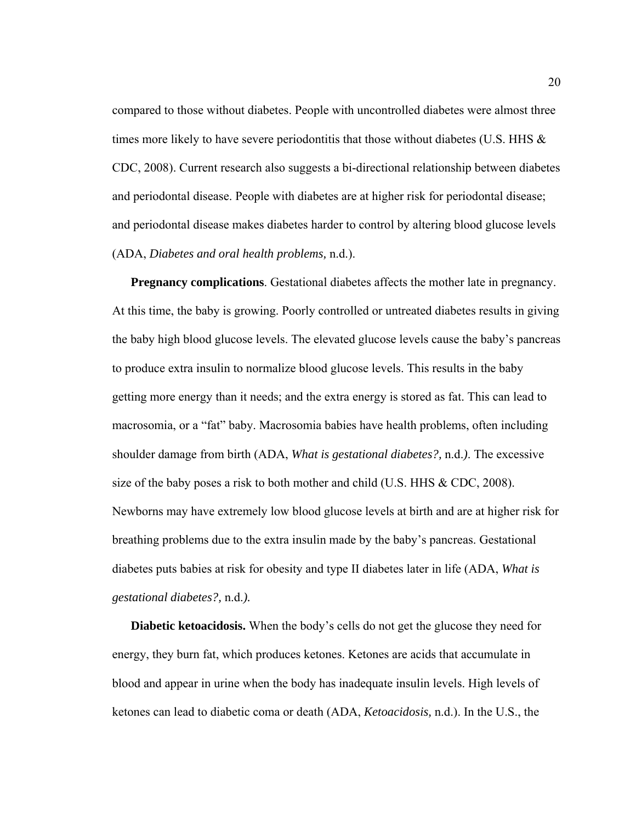compared to those without diabetes. People with uncontrolled diabetes were almost three times more likely to have severe periodontitis that those without diabetes (U.S. HHS  $\&$ CDC, 2008). Current research also suggests a bi-directional relationship between diabetes and periodontal disease. People with diabetes are at higher risk for periodontal disease; and periodontal disease makes diabetes harder to control by altering blood glucose levels (ADA, *Diabetes and oral health problems,* n.d.).

**Pregnancy complications.** Gestational diabetes affects the mother late in pregnancy. At this time, the baby is growing. Poorly controlled or untreated diabetes results in giving the baby high blood glucose levels. The elevated glucose levels cause the baby's pancreas to produce extra insulin to normalize blood glucose levels. This results in the baby getting more energy than it needs; and the extra energy is stored as fat. This can lead to macrosomia, or a "fat" baby. Macrosomia babies have health problems, often including shoulder damage from birth (ADA, *What is gestational diabetes?,* n.d.*)*. The excessive size of the baby poses a risk to both mother and child (U.S. HHS  $\&$  CDC, 2008). Newborns may have extremely low blood glucose levels at birth and are at higher risk for breathing problems due to the extra insulin made by the baby's pancreas. Gestational diabetes puts babies at risk for obesity and type II diabetes later in life (ADA, *What is gestational diabetes?,* n.d.*).*

**Diabetic ketoacidosis.** When the body's cells do not get the glucose they need for energy, they burn fat, which produces ketones. Ketones are acids that accumulate in blood and appear in urine when the body has inadequate insulin levels. High levels of ketones can lead to diabetic coma or death (ADA, *Ketoacidosis,* n.d.). In the U.S., the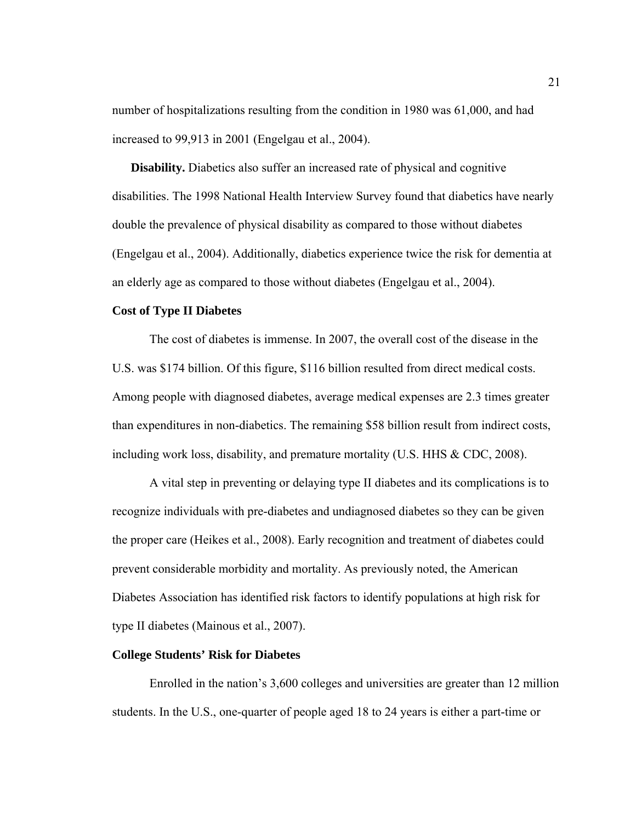number of hospitalizations resulting from the condition in 1980 was 61,000, and had increased to 99,913 in 2001 (Engelgau et al., 2004).

**Disability.** Diabetics also suffer an increased rate of physical and cognitive disabilities. The 1998 National Health Interview Survey found that diabetics have nearly double the prevalence of physical disability as compared to those without diabetes (Engelgau et al., 2004). Additionally, diabetics experience twice the risk for dementia at an elderly age as compared to those without diabetes (Engelgau et al., 2004).

# **Cost of Type II Diabetes**

 The cost of diabetes is immense. In 2007, the overall cost of the disease in the U.S. was \$174 billion. Of this figure, \$116 billion resulted from direct medical costs. Among people with diagnosed diabetes, average medical expenses are 2.3 times greater than expenditures in non-diabetics. The remaining \$58 billion result from indirect costs, including work loss, disability, and premature mortality (U.S. HHS & CDC, 2008).

 A vital step in preventing or delaying type II diabetes and its complications is to recognize individuals with pre-diabetes and undiagnosed diabetes so they can be given the proper care (Heikes et al., 2008). Early recognition and treatment of diabetes could prevent considerable morbidity and mortality. As previously noted, the American Diabetes Association has identified risk factors to identify populations at high risk for type II diabetes (Mainous et al., 2007).

#### **College Students' Risk for Diabetes**

Enrolled in the nation's 3,600 colleges and universities are greater than 12 million students. In the U.S., one-quarter of people aged 18 to 24 years is either a part-time or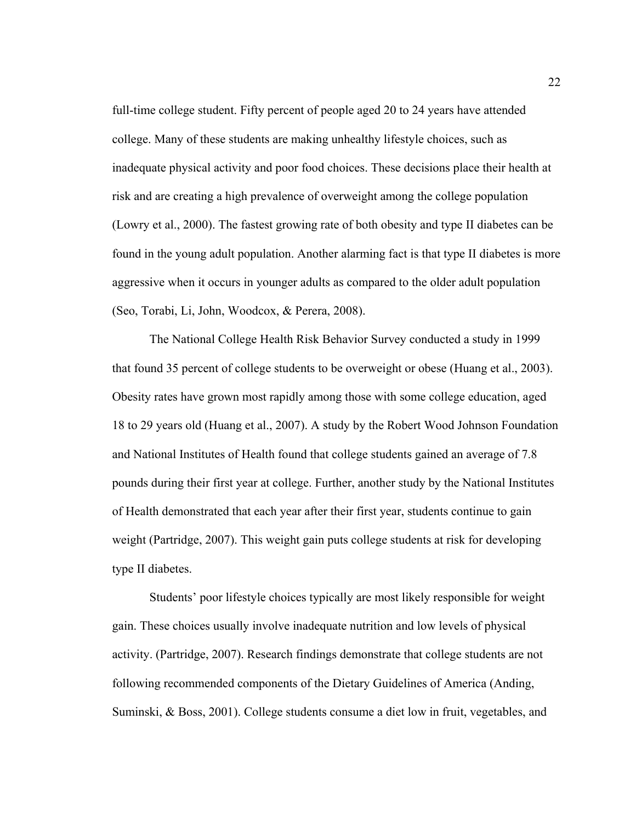full-time college student. Fifty percent of people aged 20 to 24 years have attended college. Many of these students are making unhealthy lifestyle choices, such as inadequate physical activity and poor food choices. These decisions place their health at risk and are creating a high prevalence of overweight among the college population (Lowry et al., 2000). The fastest growing rate of both obesity and type II diabetes can be found in the young adult population. Another alarming fact is that type II diabetes is more aggressive when it occurs in younger adults as compared to the older adult population (Seo, Torabi, Li, John, Woodcox, & Perera, 2008).

 The National College Health Risk Behavior Survey conducted a study in 1999 that found 35 percent of college students to be overweight or obese (Huang et al., 2003). Obesity rates have grown most rapidly among those with some college education, aged 18 to 29 years old (Huang et al., 2007). A study by the Robert Wood Johnson Foundation and National Institutes of Health found that college students gained an average of 7.8 pounds during their first year at college. Further, another study by the National Institutes of Health demonstrated that each year after their first year, students continue to gain weight (Partridge, 2007). This weight gain puts college students at risk for developing type II diabetes.

 Students' poor lifestyle choices typically are most likely responsible for weight gain. These choices usually involve inadequate nutrition and low levels of physical activity. (Partridge, 2007). Research findings demonstrate that college students are not following recommended components of the Dietary Guidelines of America (Anding, Suminski, & Boss, 2001). College students consume a diet low in fruit, vegetables, and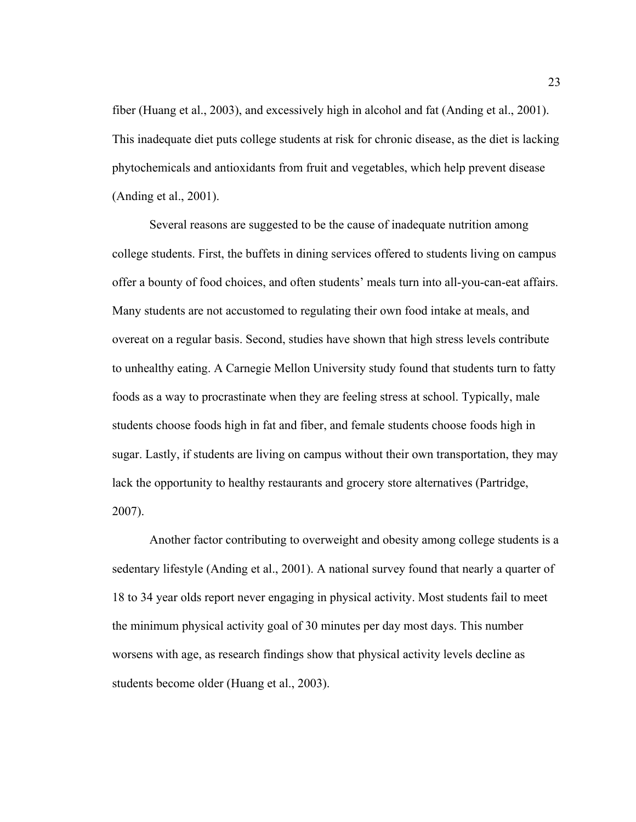fiber (Huang et al., 2003), and excessively high in alcohol and fat (Anding et al., 2001). This inadequate diet puts college students at risk for chronic disease, as the diet is lacking phytochemicals and antioxidants from fruit and vegetables, which help prevent disease (Anding et al., 2001).

 Several reasons are suggested to be the cause of inadequate nutrition among college students. First, the buffets in dining services offered to students living on campus offer a bounty of food choices, and often students' meals turn into all-you-can-eat affairs. Many students are not accustomed to regulating their own food intake at meals, and overeat on a regular basis. Second, studies have shown that high stress levels contribute to unhealthy eating. A Carnegie Mellon University study found that students turn to fatty foods as a way to procrastinate when they are feeling stress at school. Typically, male students choose foods high in fat and fiber, and female students choose foods high in sugar. Lastly, if students are living on campus without their own transportation, they may lack the opportunity to healthy restaurants and grocery store alternatives (Partridge, 2007).

 Another factor contributing to overweight and obesity among college students is a sedentary lifestyle (Anding et al., 2001). A national survey found that nearly a quarter of 18 to 34 year olds report never engaging in physical activity. Most students fail to meet the minimum physical activity goal of 30 minutes per day most days. This number worsens with age, as research findings show that physical activity levels decline as students become older (Huang et al., 2003).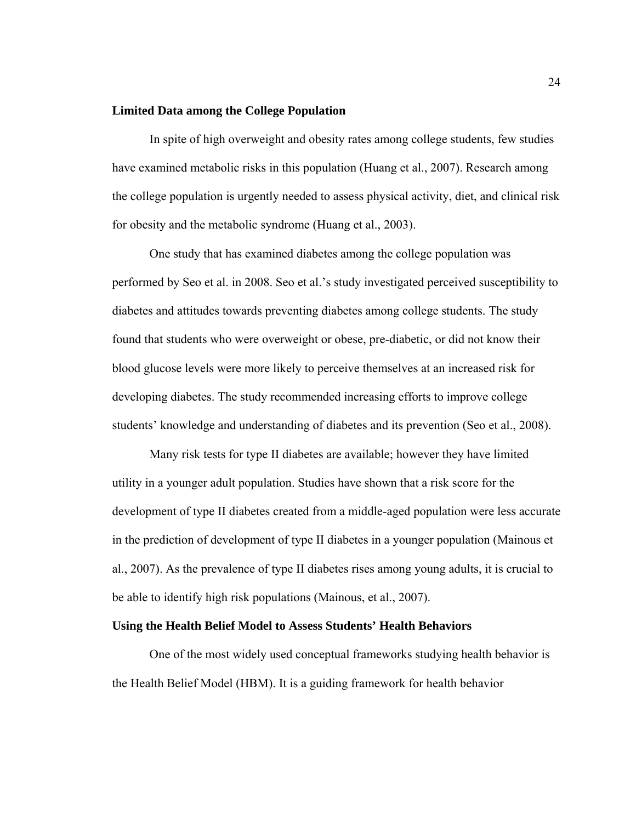# **Limited Data among the College Population**

In spite of high overweight and obesity rates among college students, few studies have examined metabolic risks in this population (Huang et al., 2007). Research among the college population is urgently needed to assess physical activity, diet, and clinical risk for obesity and the metabolic syndrome (Huang et al., 2003).

One study that has examined diabetes among the college population was performed by Seo et al. in 2008. Seo et al.'s study investigated perceived susceptibility to diabetes and attitudes towards preventing diabetes among college students. The study found that students who were overweight or obese, pre-diabetic, or did not know their blood glucose levels were more likely to perceive themselves at an increased risk for developing diabetes. The study recommended increasing efforts to improve college students' knowledge and understanding of diabetes and its prevention (Seo et al., 2008).

 Many risk tests for type II diabetes are available; however they have limited utility in a younger adult population. Studies have shown that a risk score for the development of type II diabetes created from a middle-aged population were less accurate in the prediction of development of type II diabetes in a younger population (Mainous et al., 2007). As the prevalence of type II diabetes rises among young adults, it is crucial to be able to identify high risk populations (Mainous, et al., 2007).

## **Using the Health Belief Model to Assess Students' Health Behaviors**

One of the most widely used conceptual frameworks studying health behavior is the Health Belief Model (HBM). It is a guiding framework for health behavior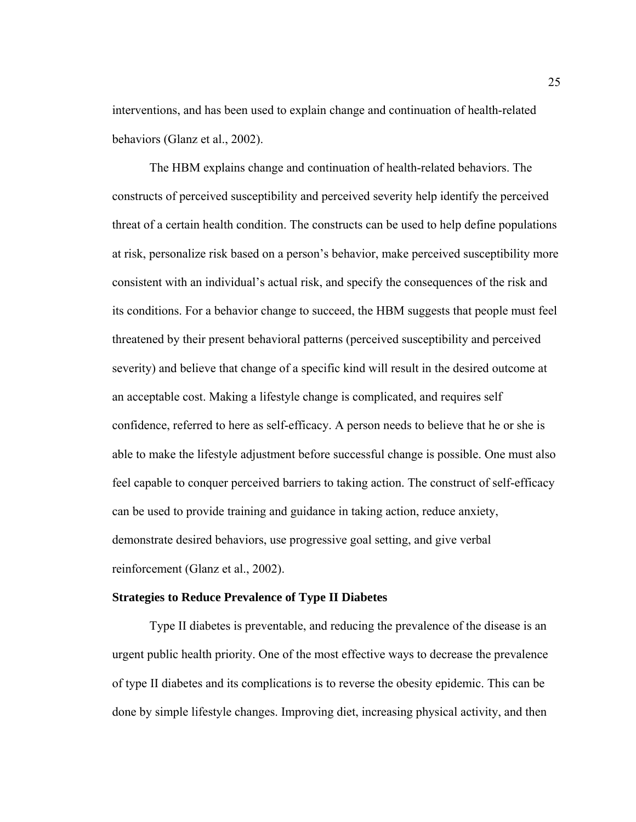interventions, and has been used to explain change and continuation of health-related behaviors (Glanz et al., 2002).

The HBM explains change and continuation of health-related behaviors. The constructs of perceived susceptibility and perceived severity help identify the perceived threat of a certain health condition. The constructs can be used to help define populations at risk, personalize risk based on a person's behavior, make perceived susceptibility more consistent with an individual's actual risk, and specify the consequences of the risk and its conditions. For a behavior change to succeed, the HBM suggests that people must feel threatened by their present behavioral patterns (perceived susceptibility and perceived severity) and believe that change of a specific kind will result in the desired outcome at an acceptable cost. Making a lifestyle change is complicated, and requires self confidence, referred to here as self-efficacy. A person needs to believe that he or she is able to make the lifestyle adjustment before successful change is possible. One must also feel capable to conquer perceived barriers to taking action. The construct of self-efficacy can be used to provide training and guidance in taking action, reduce anxiety, demonstrate desired behaviors, use progressive goal setting, and give verbal reinforcement (Glanz et al., 2002).

## **Strategies to Reduce Prevalence of Type II Diabetes**

Type II diabetes is preventable, and reducing the prevalence of the disease is an urgent public health priority. One of the most effective ways to decrease the prevalence of type II diabetes and its complications is to reverse the obesity epidemic. This can be done by simple lifestyle changes. Improving diet, increasing physical activity, and then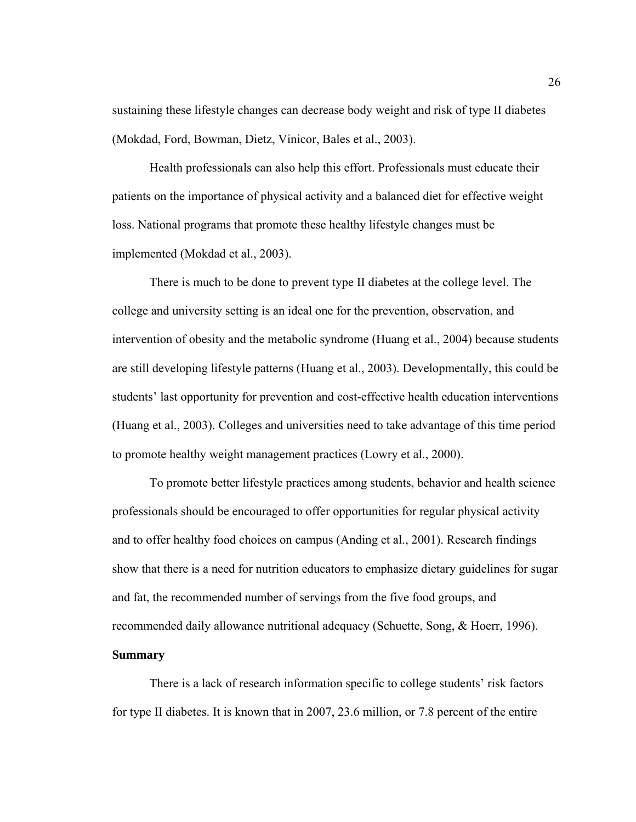sustaining these lifestyle changes can decrease body weight and risk of type II diabetes (Mokdad, Ford, Bowman, Dietz, Vinicor, Bales et al., 2003).

 Health professionals can also help this effort. Professionals must educate their patients on the importance of physical activity and a balanced diet for effective weight loss. National programs that promote these healthy lifestyle changes must be implemented (Mokdad et al., 2003).

 There is much to be done to prevent type II diabetes at the college level. The college and university setting is an ideal one for the prevention, observation, and intervention of obesity and the metabolic syndrome (Huang et al., 2004) because students are still developing lifestyle patterns (Huang et al., 2003). Developmentally, this could be students' last opportunity for prevention and cost-effective health education interventions (Huang et al., 2003). Colleges and universities need to take advantage of this time period to promote healthy weight management practices (Lowry et al., 2000).

 To promote better lifestyle practices among students, behavior and health science professionals should be encouraged to offer opportunities for regular physical activity and to offer healthy food choices on campus (Anding et al., 2001). Research findings show that there is a need for nutrition educators to emphasize dietary guidelines for sugar and fat, the recommended number of servings from the five food groups, and recommended daily allowance nutritional adequacy (Schuette, Song, & Hoerr, 1996).

There is a lack of research information specific to college students' risk factors for type II diabetes. It is known that in 2007, 23.6 million, or 7.8 percent of the entire

#### **Summary**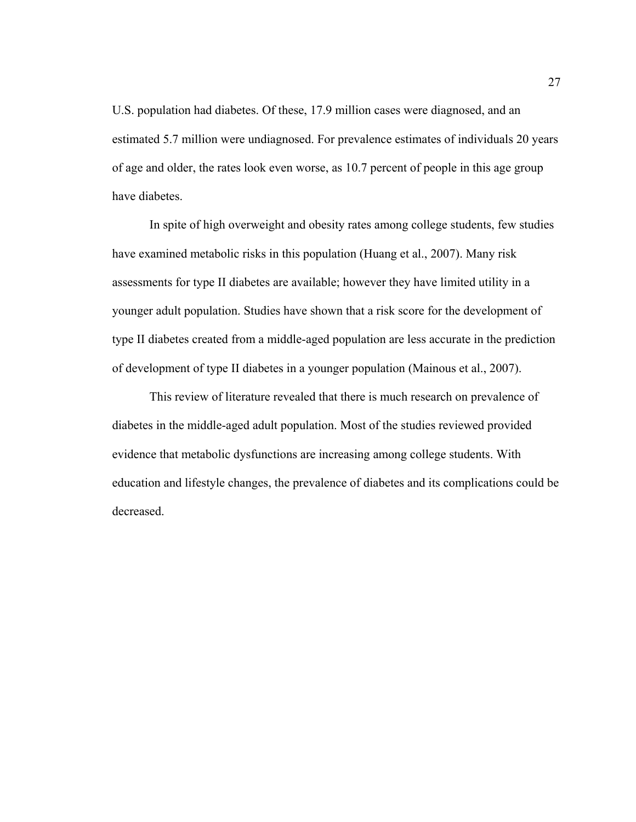U.S. population had diabetes. Of these, 17.9 million cases were diagnosed, and an estimated 5.7 million were undiagnosed. For prevalence estimates of individuals 20 years of age and older, the rates look even worse, as 10.7 percent of people in this age group have diabetes.

 In spite of high overweight and obesity rates among college students, few studies have examined metabolic risks in this population (Huang et al., 2007). Many risk assessments for type II diabetes are available; however they have limited utility in a younger adult population. Studies have shown that a risk score for the development of type II diabetes created from a middle-aged population are less accurate in the prediction of development of type II diabetes in a younger population (Mainous et al., 2007).

 This review of literature revealed that there is much research on prevalence of diabetes in the middle-aged adult population. Most of the studies reviewed provided evidence that metabolic dysfunctions are increasing among college students. With education and lifestyle changes, the prevalence of diabetes and its complications could be decreased.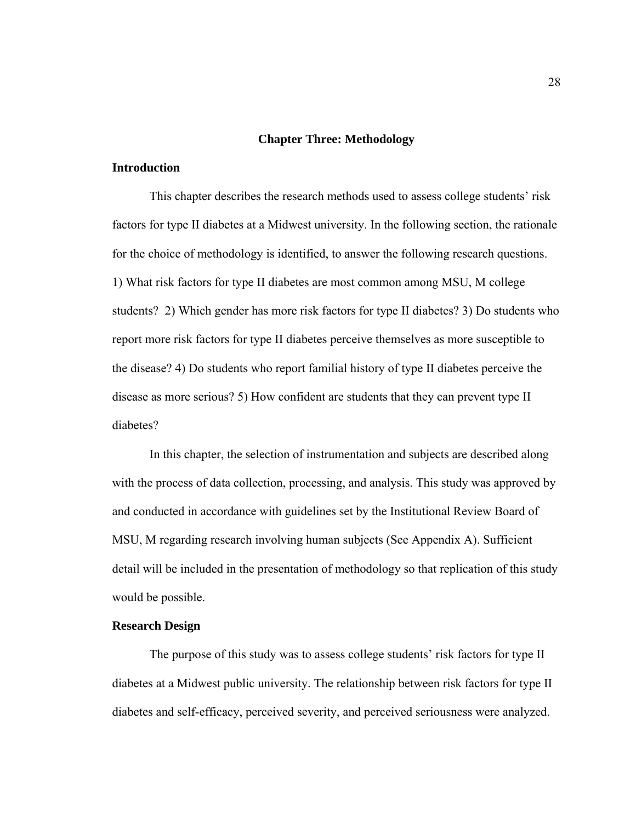#### **Chapter Three: Methodology**

#### **Introduction**

This chapter describes the research methods used to assess college students' risk factors for type II diabetes at a Midwest university. In the following section, the rationale for the choice of methodology is identified, to answer the following research questions. 1) What risk factors for type II diabetes are most common among MSU, M college students? 2) Which gender has more risk factors for type II diabetes? 3) Do students who report more risk factors for type II diabetes perceive themselves as more susceptible to the disease? 4) Do students who report familial history of type II diabetes perceive the disease as more serious? 5) How confident are students that they can prevent type II diabetes?

In this chapter, the selection of instrumentation and subjects are described along with the process of data collection, processing, and analysis. This study was approved by and conducted in accordance with guidelines set by the Institutional Review Board of MSU, M regarding research involving human subjects (See Appendix A). Sufficient detail will be included in the presentation of methodology so that replication of this study would be possible.

# **Research Design**

The purpose of this study was to assess college students' risk factors for type II diabetes at a Midwest public university. The relationship between risk factors for type II diabetes and self-efficacy, perceived severity, and perceived seriousness were analyzed.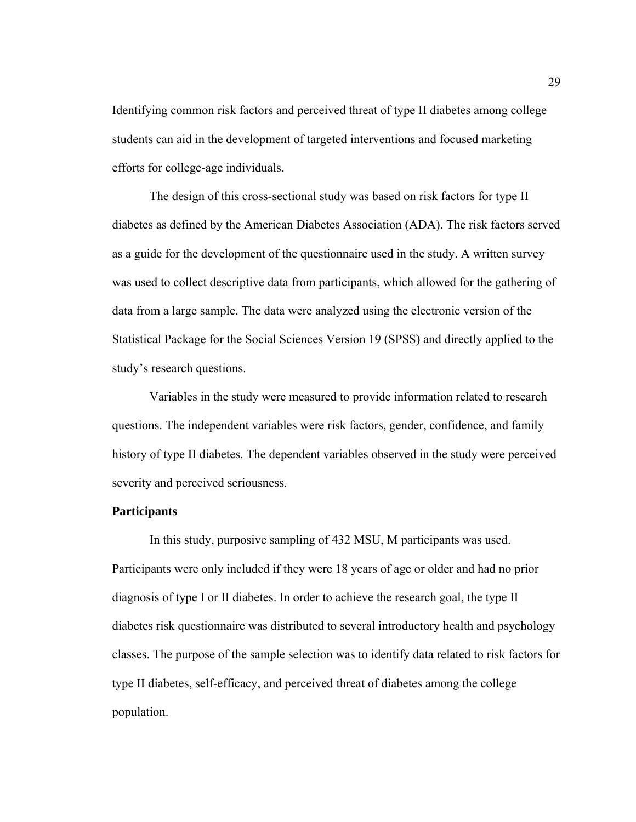Identifying common risk factors and perceived threat of type II diabetes among college students can aid in the development of targeted interventions and focused marketing efforts for college-age individuals.

 The design of this cross-sectional study was based on risk factors for type II diabetes as defined by the American Diabetes Association (ADA). The risk factors served as a guide for the development of the questionnaire used in the study. A written survey was used to collect descriptive data from participants, which allowed for the gathering of data from a large sample. The data were analyzed using the electronic version of the Statistical Package for the Social Sciences Version 19 (SPSS) and directly applied to the study's research questions.

 Variables in the study were measured to provide information related to research questions. The independent variables were risk factors, gender, confidence, and family history of type II diabetes. The dependent variables observed in the study were perceived severity and perceived seriousness.

#### **Participants**

 In this study, purposive sampling of 432 MSU, M participants was used. Participants were only included if they were 18 years of age or older and had no prior diagnosis of type I or II diabetes. In order to achieve the research goal, the type II diabetes risk questionnaire was distributed to several introductory health and psychology classes. The purpose of the sample selection was to identify data related to risk factors for type II diabetes, self-efficacy, and perceived threat of diabetes among the college population.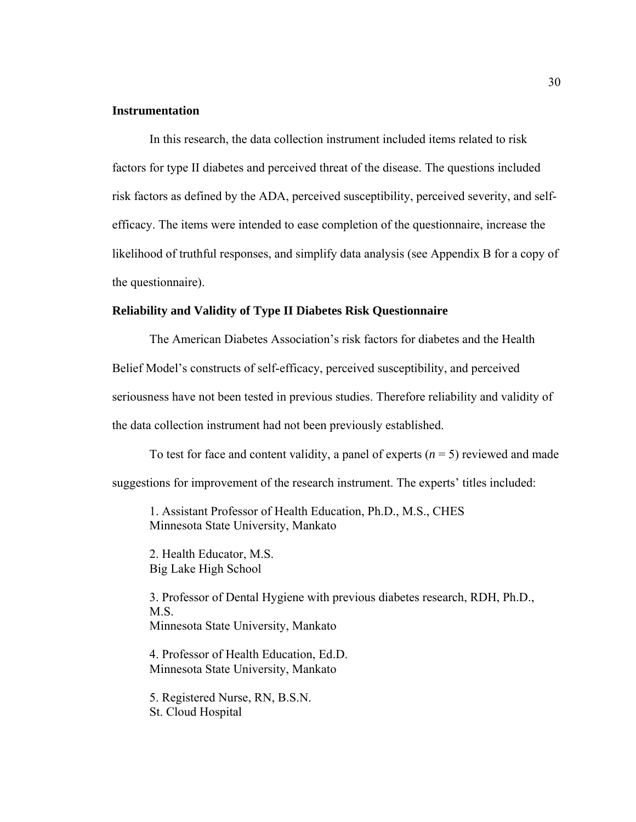#### **Instrumentation**

In this research, the data collection instrument included items related to risk factors for type II diabetes and perceived threat of the disease. The questions included risk factors as defined by the ADA, perceived susceptibility, perceived severity, and selfefficacy. The items were intended to ease completion of the questionnaire, increase the likelihood of truthful responses, and simplify data analysis (see Appendix B for a copy of the questionnaire).

#### **Reliability and Validity of Type II Diabetes Risk Questionnaire**

The American Diabetes Association's risk factors for diabetes and the Health Belief Model's constructs of self-efficacy, perceived susceptibility, and perceived seriousness have not been tested in previous studies. Therefore reliability and validity of the data collection instrument had not been previously established.

To test for face and content validity, a panel of experts  $(n = 5)$  reviewed and made suggestions for improvement of the research instrument. The experts' titles included:

1. Assistant Professor of Health Education, Ph.D., M.S., CHES Minnesota State University, Mankato

2. Health Educator, M.S. Big Lake High School

3. Professor of Dental Hygiene with previous diabetes research, RDH, Ph.D., M.S. Minnesota State University, Mankato

 4. Professor of Health Education, Ed.D. Minnesota State University, Mankato

 5. Registered Nurse, RN, B.S.N. St. Cloud Hospital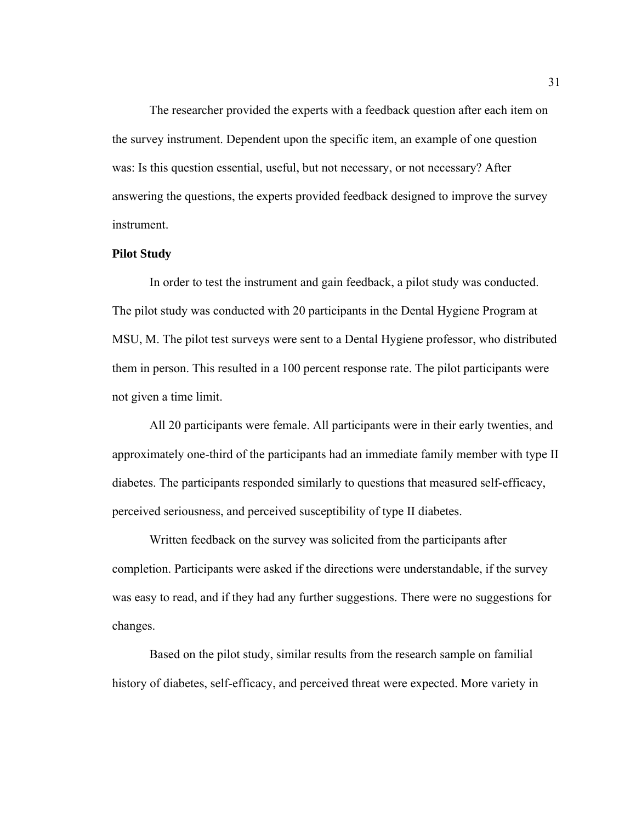The researcher provided the experts with a feedback question after each item on the survey instrument. Dependent upon the specific item, an example of one question was: Is this question essential, useful, but not necessary, or not necessary? After answering the questions, the experts provided feedback designed to improve the survey instrument.

#### **Pilot Study**

In order to test the instrument and gain feedback, a pilot study was conducted. The pilot study was conducted with 20 participants in the Dental Hygiene Program at MSU, M. The pilot test surveys were sent to a Dental Hygiene professor, who distributed them in person. This resulted in a 100 percent response rate. The pilot participants were not given a time limit.

All 20 participants were female. All participants were in their early twenties, and approximately one-third of the participants had an immediate family member with type II diabetes. The participants responded similarly to questions that measured self-efficacy, perceived seriousness, and perceived susceptibility of type II diabetes.

 Written feedback on the survey was solicited from the participants after completion. Participants were asked if the directions were understandable, if the survey was easy to read, and if they had any further suggestions. There were no suggestions for changes.

Based on the pilot study, similar results from the research sample on familial history of diabetes, self-efficacy, and perceived threat were expected. More variety in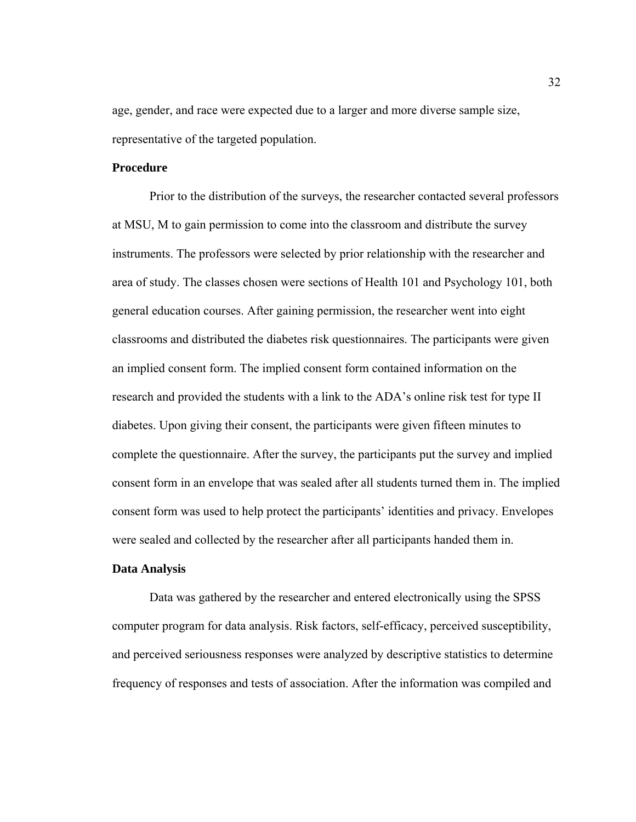age, gender, and race were expected due to a larger and more diverse sample size, representative of the targeted population.

# **Procedure**

Prior to the distribution of the surveys, the researcher contacted several professors at MSU, M to gain permission to come into the classroom and distribute the survey instruments. The professors were selected by prior relationship with the researcher and area of study. The classes chosen were sections of Health 101 and Psychology 101, both general education courses. After gaining permission, the researcher went into eight classrooms and distributed the diabetes risk questionnaires. The participants were given an implied consent form. The implied consent form contained information on the research and provided the students with a link to the ADA's online risk test for type II diabetes. Upon giving their consent, the participants were given fifteen minutes to complete the questionnaire. After the survey, the participants put the survey and implied consent form in an envelope that was sealed after all students turned them in. The implied consent form was used to help protect the participants' identities and privacy. Envelopes were sealed and collected by the researcher after all participants handed them in.

#### **Data Analysis**

Data was gathered by the researcher and entered electronically using the SPSS computer program for data analysis. Risk factors, self-efficacy, perceived susceptibility, and perceived seriousness responses were analyzed by descriptive statistics to determine frequency of responses and tests of association. After the information was compiled and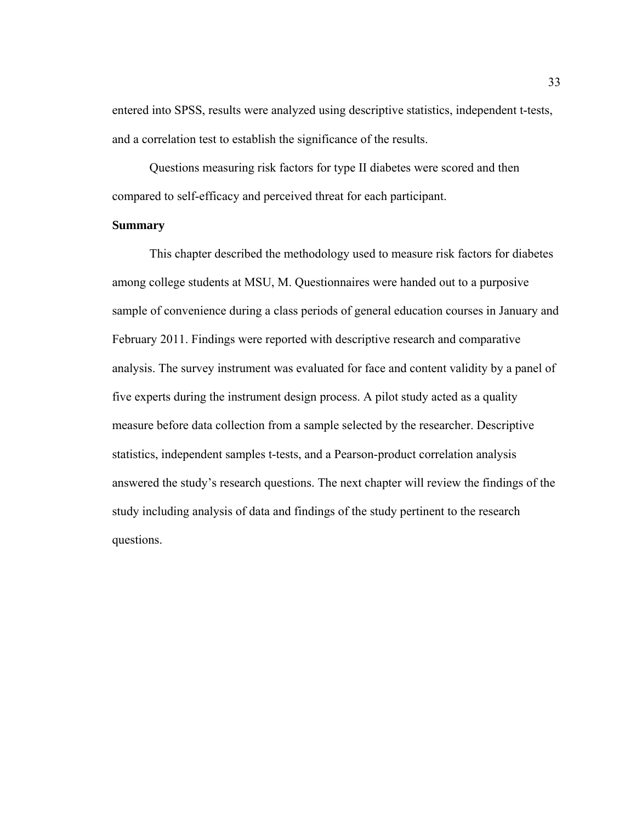entered into SPSS, results were analyzed using descriptive statistics, independent t-tests, and a correlation test to establish the significance of the results.

 Questions measuring risk factors for type II diabetes were scored and then compared to self-efficacy and perceived threat for each participant.

# **Summary**

This chapter described the methodology used to measure risk factors for diabetes among college students at MSU, M. Questionnaires were handed out to a purposive sample of convenience during a class periods of general education courses in January and February 2011. Findings were reported with descriptive research and comparative analysis. The survey instrument was evaluated for face and content validity by a panel of five experts during the instrument design process. A pilot study acted as a quality measure before data collection from a sample selected by the researcher. Descriptive statistics, independent samples t-tests, and a Pearson-product correlation analysis answered the study's research questions. The next chapter will review the findings of the study including analysis of data and findings of the study pertinent to the research questions.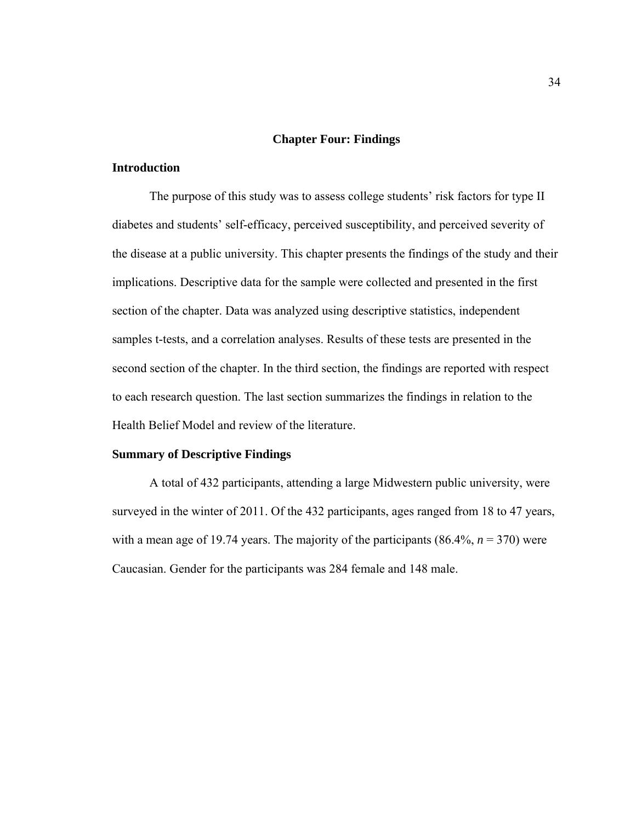#### **Chapter Four: Findings**

# **Introduction**

The purpose of this study was to assess college students' risk factors for type II diabetes and students' self-efficacy, perceived susceptibility, and perceived severity of the disease at a public university. This chapter presents the findings of the study and their implications. Descriptive data for the sample were collected and presented in the first section of the chapter. Data was analyzed using descriptive statistics, independent samples t-tests, and a correlation analyses. Results of these tests are presented in the second section of the chapter. In the third section, the findings are reported with respect to each research question. The last section summarizes the findings in relation to the Health Belief Model and review of the literature.

#### **Summary of Descriptive Findings**

A total of 432 participants, attending a large Midwestern public university, were surveyed in the winter of 2011. Of the 432 participants, ages ranged from 18 to 47 years, with a mean age of 19.74 years. The majority of the participants  $(86.4\%, n = 370)$  were Caucasian. Gender for the participants was 284 female and 148 male.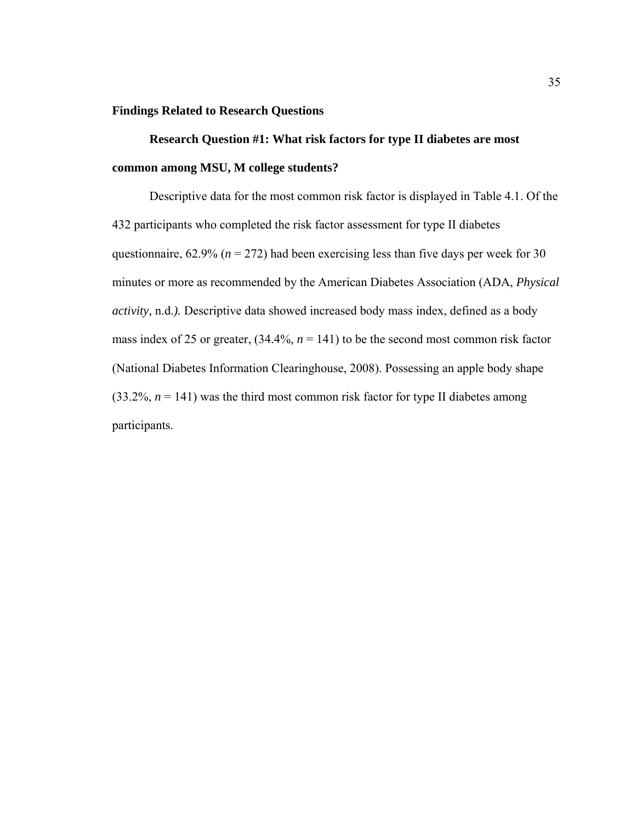#### **Findings Related to Research Questions**

 **Research Question #1: What risk factors for type II diabetes are most common among MSU, M college students?** 

Descriptive data for the most common risk factor is displayed in Table 4.1. Of the 432 participants who completed the risk factor assessment for type II diabetes questionnaire,  $62.9\%$  ( $n = 272$ ) had been exercising less than five days per week for 30 minutes or more as recommended by the American Diabetes Association (ADA, *Physical activity,* n.d.*).* Descriptive data showed increased body mass index, defined as a body mass index of 25 or greater,  $(34.4\%, n = 141)$  to be the second most common risk factor (National Diabetes Information Clearinghouse, 2008). Possessing an apple body shape  $(33.2\%, n = 141)$  was the third most common risk factor for type II diabetes among participants.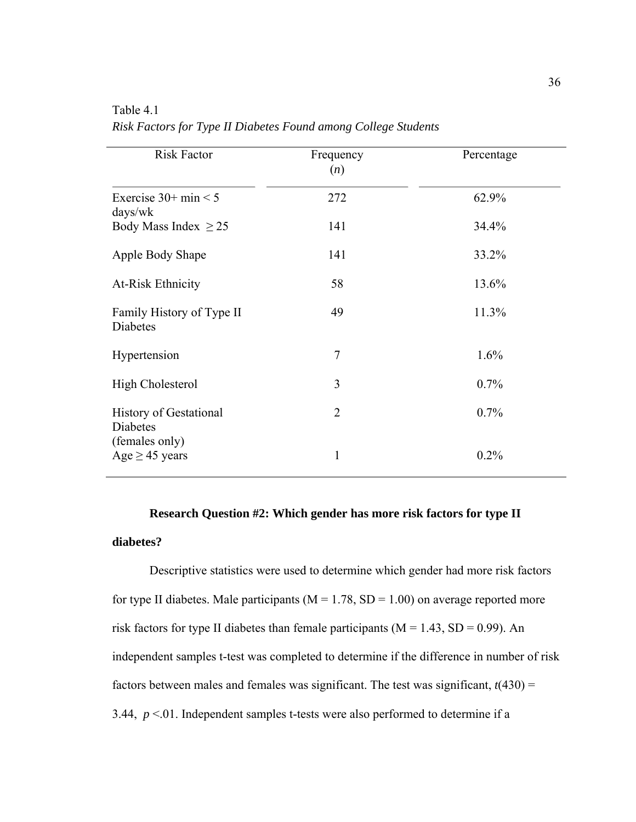| <b>Risk Factor</b>                                          | Frequency<br>(n) | Percentage |
|-------------------------------------------------------------|------------------|------------|
| Exercise $30+$ min $< 5$<br>$\frac{days}{wk}$               | 272              | 62.9%      |
| Body Mass Index $\geq$ 25                                   | 141              | 34.4%      |
| Apple Body Shape                                            | 141              | 33.2%      |
| <b>At-Risk Ethnicity</b>                                    | 58               | 13.6%      |
| Family History of Type II<br>Diabetes                       | 49               | 11.3%      |
| Hypertension                                                | $\overline{7}$   | 1.6%       |
| <b>High Cholesterol</b>                                     | 3                | 0.7%       |
| <b>History of Gestational</b><br>Diabetes<br>(females only) | $\overline{2}$   | 0.7%       |
| Age $\geq$ 45 years                                         | 1                | 0.2%       |

Table 4.1 *Risk Factors for Type II Diabetes Found among College Students*

# **Research Question #2: Which gender has more risk factors for type II diabetes?**

 Descriptive statistics were used to determine which gender had more risk factors for type II diabetes. Male participants ( $M = 1.78$ , SD = 1.00) on average reported more risk factors for type II diabetes than female participants ( $M = 1.43$ ,  $SD = 0.99$ ). An independent samples t-test was completed to determine if the difference in number of risk factors between males and females was significant. The test was significant,  $t(430)$  = 3.44,  $p < 01$ . Independent samples t-tests were also performed to determine if a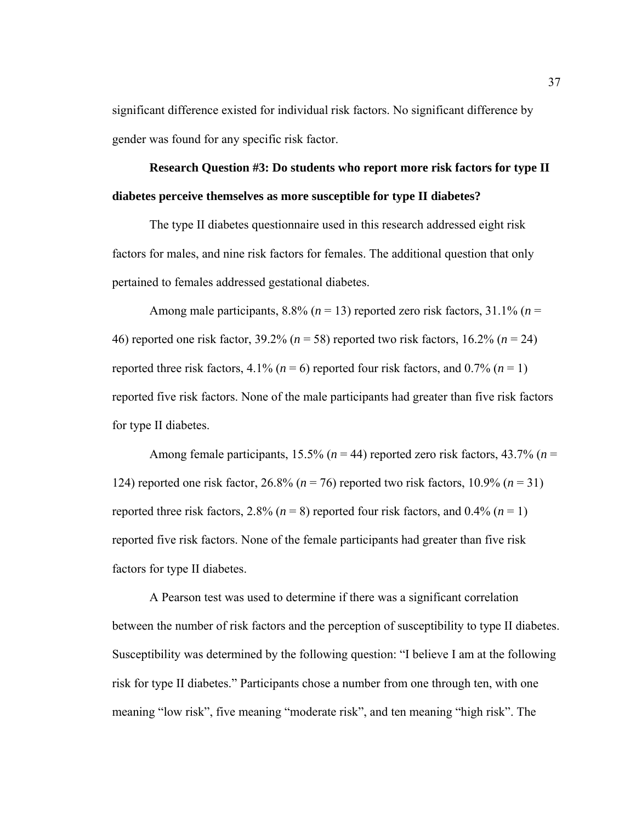significant difference existed for individual risk factors. No significant difference by gender was found for any specific risk factor.

**Research Question #3: Do students who report more risk factors for type II diabetes perceive themselves as more susceptible for type II diabetes?** 

The type II diabetes questionnaire used in this research addressed eight risk factors for males, and nine risk factors for females. The additional question that only pertained to females addressed gestational diabetes.

Among male participants,  $8.8\%$  ( $n = 13$ ) reported zero risk factors,  $31.1\%$  ( $n =$ 46) reported one risk factor, 39.2% (*n* = 58) reported two risk factors, 16.2% (*n* = 24) reported three risk factors,  $4.1\%$  ( $n = 6$ ) reported four risk factors, and 0.7% ( $n = 1$ ) reported five risk factors. None of the male participants had greater than five risk factors for type II diabetes.

Among female participants, 15.5% (*n* = 44) reported zero risk factors, 43.7% (*n* = 124) reported one risk factor, 26.8% (*n* = 76) reported two risk factors, 10.9% (*n* = 31) reported three risk factors, 2.8% ( $n = 8$ ) reported four risk factors, and 0.4% ( $n = 1$ ) reported five risk factors. None of the female participants had greater than five risk factors for type II diabetes.

A Pearson test was used to determine if there was a significant correlation between the number of risk factors and the perception of susceptibility to type II diabetes. Susceptibility was determined by the following question: "I believe I am at the following risk for type II diabetes." Participants chose a number from one through ten, with one meaning "low risk", five meaning "moderate risk", and ten meaning "high risk". The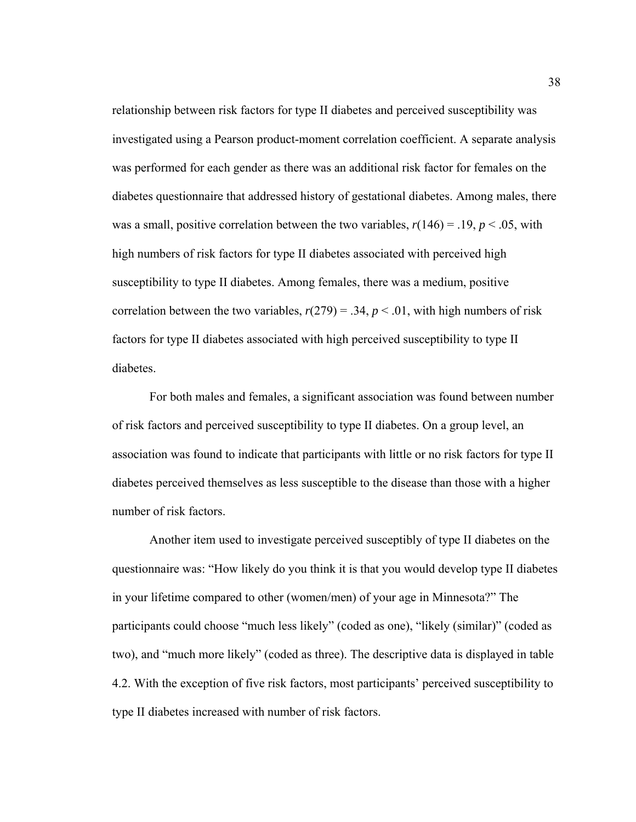relationship between risk factors for type II diabetes and perceived susceptibility was investigated using a Pearson product-moment correlation coefficient. A separate analysis was performed for each gender as there was an additional risk factor for females on the diabetes questionnaire that addressed history of gestational diabetes. Among males, there was a small, positive correlation between the two variables,  $r(146) = .19$ ,  $p < .05$ , with high numbers of risk factors for type II diabetes associated with perceived high susceptibility to type II diabetes. Among females, there was a medium, positive correlation between the two variables,  $r(279) = .34$ ,  $p < .01$ , with high numbers of risk factors for type II diabetes associated with high perceived susceptibility to type II diabetes.

For both males and females, a significant association was found between number of risk factors and perceived susceptibility to type II diabetes. On a group level, an association was found to indicate that participants with little or no risk factors for type II diabetes perceived themselves as less susceptible to the disease than those with a higher number of risk factors.

Another item used to investigate perceived susceptibly of type II diabetes on the questionnaire was: "How likely do you think it is that you would develop type II diabetes in your lifetime compared to other (women/men) of your age in Minnesota?" The participants could choose "much less likely" (coded as one), "likely (similar)" (coded as two), and "much more likely" (coded as three). The descriptive data is displayed in table 4.2. With the exception of five risk factors, most participants' perceived susceptibility to type II diabetes increased with number of risk factors.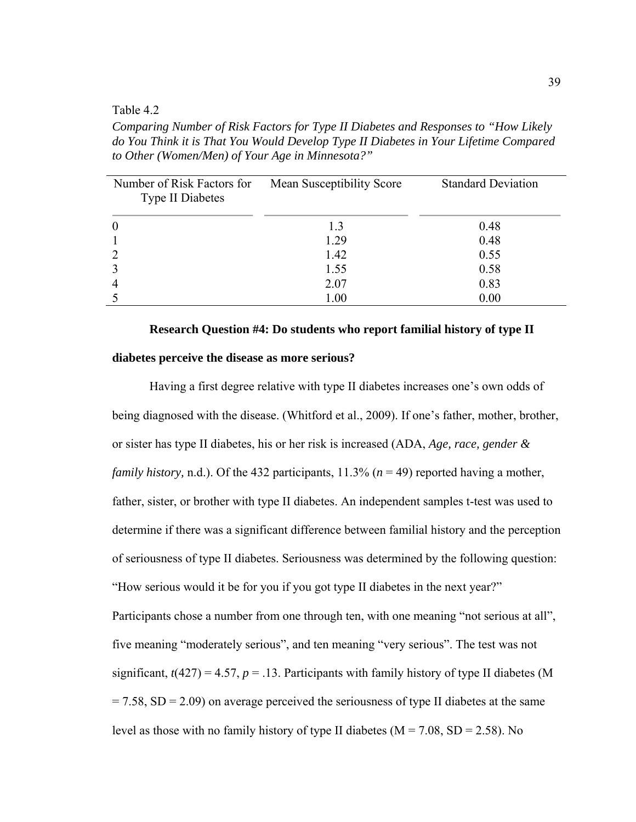#### Table 4.2

*Comparing Number of Risk Factors for Type II Diabetes and Responses to "How Likely do You Think it is That You Would Develop Type II Diabetes in Your Lifetime Compared to Other (Women/Men) of Your Age in Minnesota?"* 

| Number of Risk Factors for<br><b>Type II Diabetes</b> | Mean Susceptibility Score | <b>Standard Deviation</b> |
|-------------------------------------------------------|---------------------------|---------------------------|
| $\boldsymbol{0}$                                      | 1.3                       | 0.48                      |
|                                                       | 1.29                      | 0.48                      |
| $\overline{2}$                                        | 1.42                      | 0.55                      |
| 3                                                     | 1.55                      | 0.58                      |
| $\overline{4}$                                        | 2.07                      | 0.83                      |
|                                                       | 1.00                      | 0.00                      |

#### **Research Question #4: Do students who report familial history of type II**

#### **diabetes perceive the disease as more serious?**

Having a first degree relative with type II diabetes increases one's own odds of being diagnosed with the disease. (Whitford et al., 2009). If one's father, mother, brother, or sister has type II diabetes, his or her risk is increased (ADA, *Age, race, gender & family history, n.d.).* Of the 432 participants,  $11.3\%$  ( $n = 49$ ) reported having a mother, father, sister, or brother with type II diabetes. An independent samples t-test was used to determine if there was a significant difference between familial history and the perception of seriousness of type II diabetes. Seriousness was determined by the following question: "How serious would it be for you if you got type II diabetes in the next year?" Participants chose a number from one through ten, with one meaning "not serious at all", five meaning "moderately serious", and ten meaning "very serious". The test was not significant,  $t(427) = 4.57$ ,  $p = .13$ . Participants with family history of type II diabetes (M)  $= 7.58$ , SD  $= 2.09$ ) on average perceived the seriousness of type II diabetes at the same level as those with no family history of type II diabetes ( $M = 7.08$ ,  $SD = 2.58$ ). No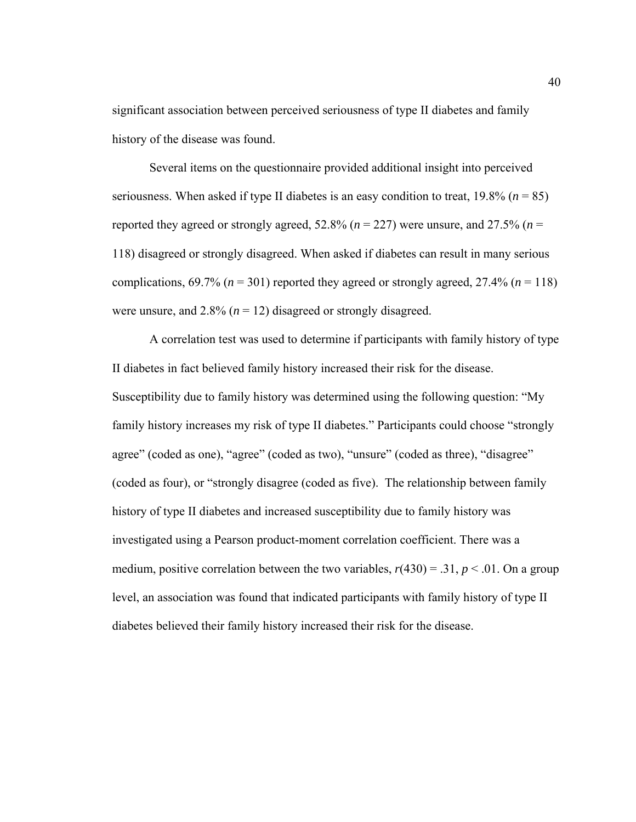significant association between perceived seriousness of type II diabetes and family history of the disease was found.

 Several items on the questionnaire provided additional insight into perceived seriousness. When asked if type II diabetes is an easy condition to treat,  $19.8\%$  ( $n = 85$ ) reported they agreed or strongly agreed, 52.8% ( $n = 227$ ) were unsure, and 27.5% ( $n =$ 118) disagreed or strongly disagreed. When asked if diabetes can result in many serious complications,  $69.7\%$  ( $n = 301$ ) reported they agreed or strongly agreed,  $27.4\%$  ( $n = 118$ ) were unsure, and  $2.8\%$  ( $n = 12$ ) disagreed or strongly disagreed.

A correlation test was used to determine if participants with family history of type II diabetes in fact believed family history increased their risk for the disease. Susceptibility due to family history was determined using the following question: "My family history increases my risk of type II diabetes." Participants could choose "strongly agree" (coded as one), "agree" (coded as two), "unsure" (coded as three), "disagree" (coded as four), or "strongly disagree (coded as five). The relationship between family history of type II diabetes and increased susceptibility due to family history was investigated using a Pearson product-moment correlation coefficient. There was a medium, positive correlation between the two variables,  $r(430) = .31$ ,  $p < .01$ . On a group level, an association was found that indicated participants with family history of type II diabetes believed their family history increased their risk for the disease.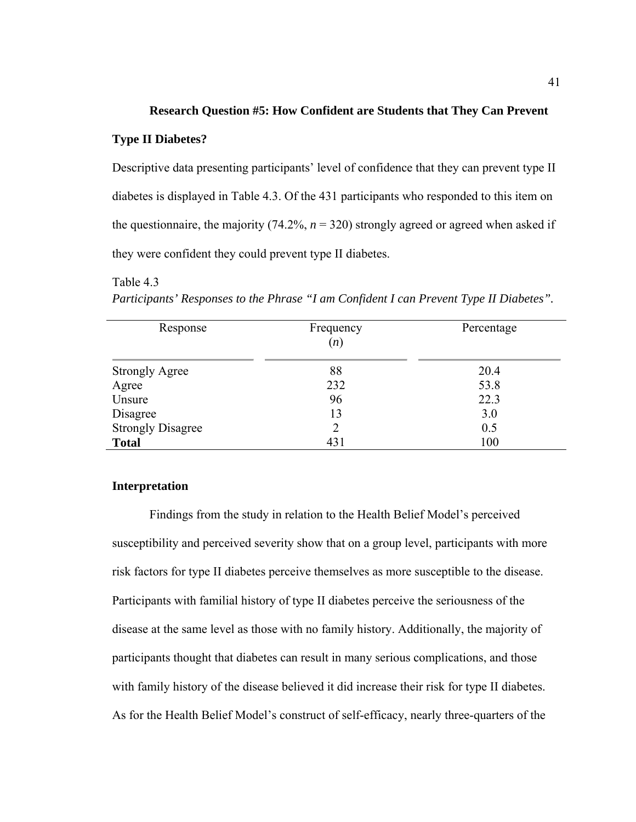#### **Research Question #5: How Confident are Students that They Can Prevent**

#### **Type II Diabetes?**

Table 4.3

Descriptive data presenting participants' level of confidence that they can prevent type II diabetes is displayed in Table 4.3. Of the 431 participants who responded to this item on the questionnaire, the majority  $(74.2\%, n = 320)$  strongly agreed or agreed when asked if they were confident they could prevent type II diabetes.

# Response Frequency (*n*) Percentage Strongly Agree 20.4 Agree 232 53.8 Unsure  $96$  22.3  $Disagree$  13 3.0 Strongly Disagree 2 0.5 **Total** 100

*Participants' Responses to the Phrase "I am Confident I can Prevent Type II Diabetes".*

# **Interpretation**

Findings from the study in relation to the Health Belief Model's perceived susceptibility and perceived severity show that on a group level, participants with more risk factors for type II diabetes perceive themselves as more susceptible to the disease. Participants with familial history of type II diabetes perceive the seriousness of the disease at the same level as those with no family history. Additionally, the majority of participants thought that diabetes can result in many serious complications, and those with family history of the disease believed it did increase their risk for type II diabetes. As for the Health Belief Model's construct of self-efficacy, nearly three-quarters of the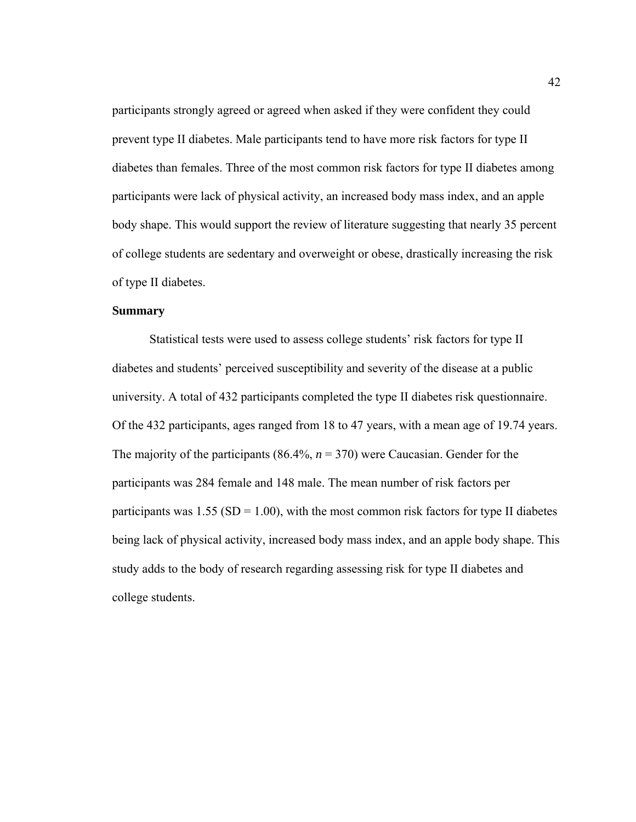participants strongly agreed or agreed when asked if they were confident they could prevent type II diabetes. Male participants tend to have more risk factors for type II diabetes than females. Three of the most common risk factors for type II diabetes among participants were lack of physical activity, an increased body mass index, and an apple body shape. This would support the review of literature suggesting that nearly 35 percent of college students are sedentary and overweight or obese, drastically increasing the risk of type II diabetes.

# **Summary**

Statistical tests were used to assess college students' risk factors for type II diabetes and students' perceived susceptibility and severity of the disease at a public university. A total of 432 participants completed the type II diabetes risk questionnaire. Of the 432 participants, ages ranged from 18 to 47 years, with a mean age of 19.74 years. The majority of the participants (86.4%,  $n = 370$ ) were Caucasian. Gender for the participants was 284 female and 148 male. The mean number of risk factors per participants was  $1.55$  (SD = 1.00), with the most common risk factors for type II diabetes being lack of physical activity, increased body mass index, and an apple body shape. This study adds to the body of research regarding assessing risk for type II diabetes and college students.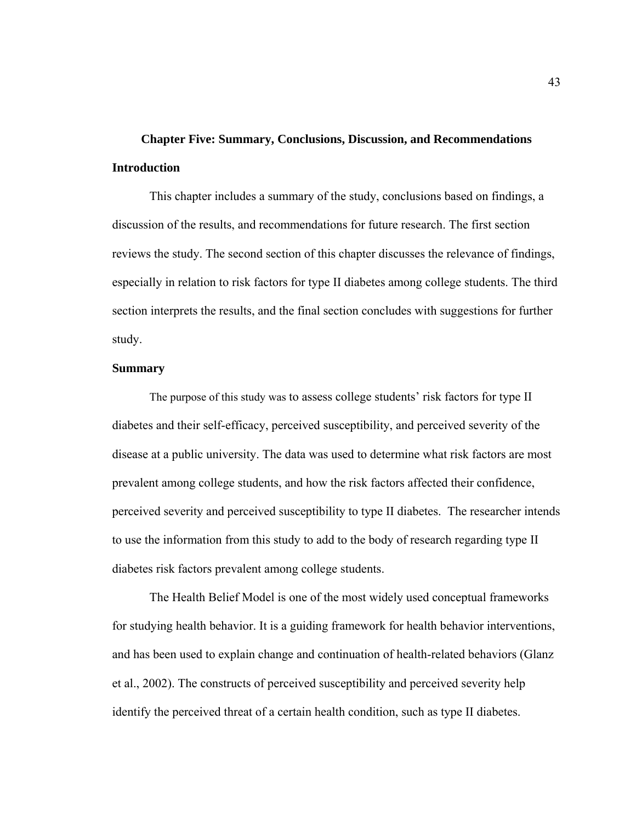# **Chapter Five: Summary, Conclusions, Discussion, and Recommendations Introduction**

This chapter includes a summary of the study, conclusions based on findings, a discussion of the results, and recommendations for future research. The first section reviews the study. The second section of this chapter discusses the relevance of findings, especially in relation to risk factors for type II diabetes among college students. The third section interprets the results, and the final section concludes with suggestions for further study.

#### **Summary**

The purpose of this study was to assess college students' risk factors for type II diabetes and their self-efficacy, perceived susceptibility, and perceived severity of the disease at a public university. The data was used to determine what risk factors are most prevalent among college students, and how the risk factors affected their confidence, perceived severity and perceived susceptibility to type II diabetes. The researcher intends to use the information from this study to add to the body of research regarding type II diabetes risk factors prevalent among college students.

 The Health Belief Model is one of the most widely used conceptual frameworks for studying health behavior. It is a guiding framework for health behavior interventions, and has been used to explain change and continuation of health-related behaviors (Glanz et al., 2002). The constructs of perceived susceptibility and perceived severity help identify the perceived threat of a certain health condition, such as type II diabetes.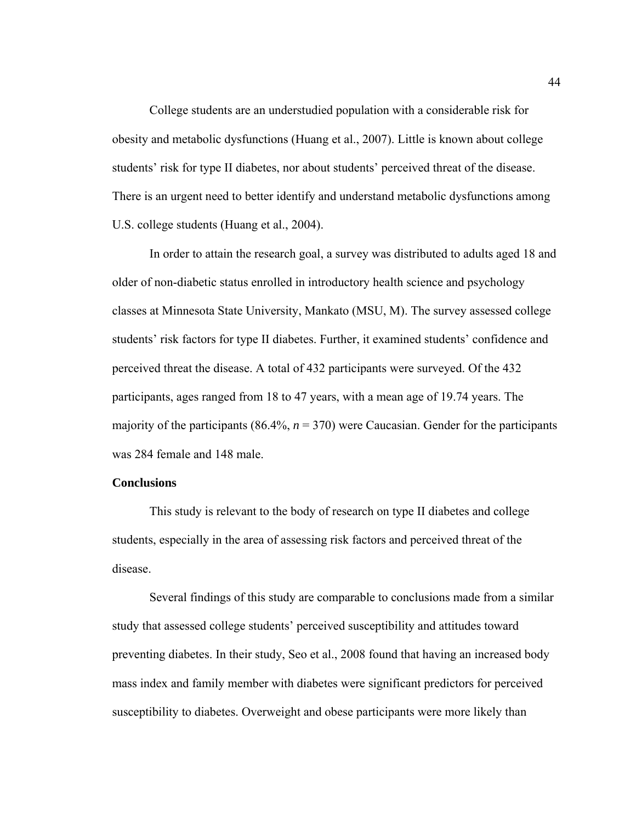College students are an understudied population with a considerable risk for obesity and metabolic dysfunctions (Huang et al., 2007). Little is known about college students' risk for type II diabetes, nor about students' perceived threat of the disease. There is an urgent need to better identify and understand metabolic dysfunctions among U.S. college students (Huang et al., 2004).

In order to attain the research goal, a survey was distributed to adults aged 18 and older of non-diabetic status enrolled in introductory health science and psychology classes at Minnesota State University, Mankato (MSU, M). The survey assessed college students' risk factors for type II diabetes. Further, it examined students' confidence and perceived threat the disease. A total of 432 participants were surveyed. Of the 432 participants, ages ranged from 18 to 47 years, with a mean age of 19.74 years. The majority of the participants  $(86.4\%, n = 370)$  were Caucasian. Gender for the participants was 284 female and 148 male.

#### **Conclusions**

This study is relevant to the body of research on type II diabetes and college students, especially in the area of assessing risk factors and perceived threat of the disease.

 Several findings of this study are comparable to conclusions made from a similar study that assessed college students' perceived susceptibility and attitudes toward preventing diabetes. In their study, Seo et al., 2008 found that having an increased body mass index and family member with diabetes were significant predictors for perceived susceptibility to diabetes. Overweight and obese participants were more likely than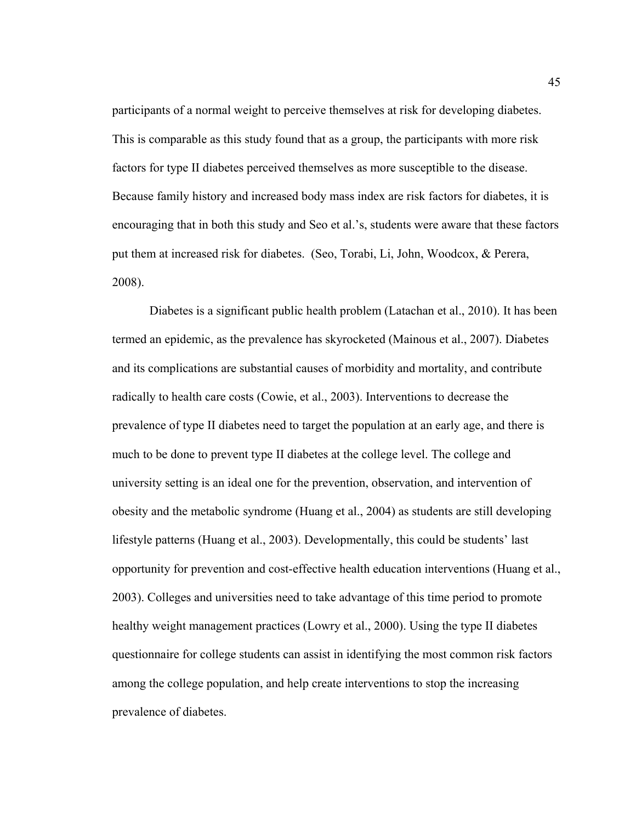participants of a normal weight to perceive themselves at risk for developing diabetes. This is comparable as this study found that as a group, the participants with more risk factors for type II diabetes perceived themselves as more susceptible to the disease. Because family history and increased body mass index are risk factors for diabetes, it is encouraging that in both this study and Seo et al.'s, students were aware that these factors put them at increased risk for diabetes. (Seo, Torabi, Li, John, Woodcox, & Perera, 2008).

Diabetes is a significant public health problem (Latachan et al., 2010). It has been termed an epidemic, as the prevalence has skyrocketed (Mainous et al., 2007). Diabetes and its complications are substantial causes of morbidity and mortality, and contribute radically to health care costs (Cowie, et al., 2003). Interventions to decrease the prevalence of type II diabetes need to target the population at an early age, and there is much to be done to prevent type II diabetes at the college level. The college and university setting is an ideal one for the prevention, observation, and intervention of obesity and the metabolic syndrome (Huang et al., 2004) as students are still developing lifestyle patterns (Huang et al., 2003). Developmentally, this could be students' last opportunity for prevention and cost-effective health education interventions (Huang et al., 2003). Colleges and universities need to take advantage of this time period to promote healthy weight management practices (Lowry et al., 2000). Using the type II diabetes questionnaire for college students can assist in identifying the most common risk factors among the college population, and help create interventions to stop the increasing prevalence of diabetes.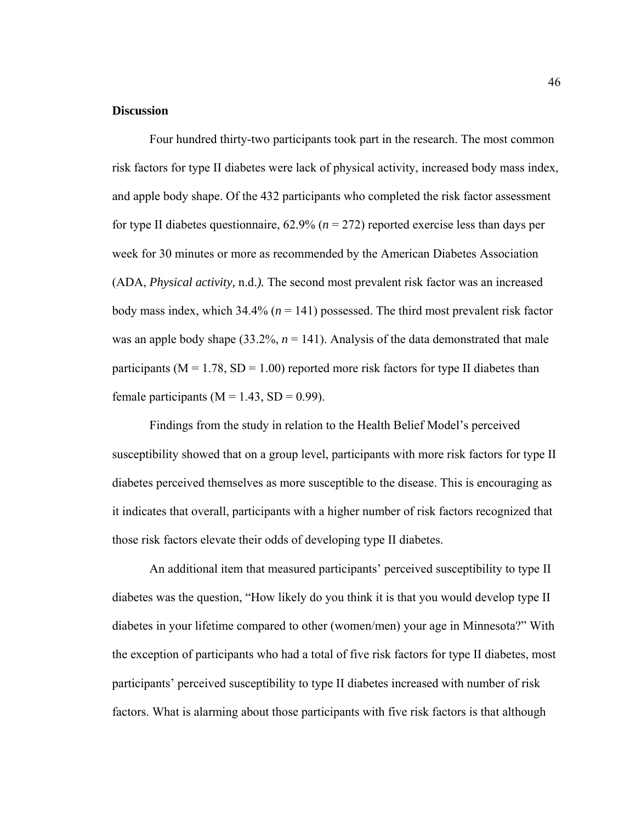#### **Discussion**

Four hundred thirty-two participants took part in the research. The most common risk factors for type II diabetes were lack of physical activity, increased body mass index, and apple body shape. Of the 432 participants who completed the risk factor assessment for type II diabetes questionnaire, 62.9% (*n* = 272) reported exercise less than days per week for 30 minutes or more as recommended by the American Diabetes Association (ADA, *Physical activity,* n.d.*).* The second most prevalent risk factor was an increased body mass index, which  $34.4\%$  ( $n = 141$ ) possessed. The third most prevalent risk factor was an apple body shape  $(33.2\%, n = 141)$ . Analysis of the data demonstrated that male participants ( $M = 1.78$ ,  $SD = 1.00$ ) reported more risk factors for type II diabetes than female participants ( $M = 1.43$ ,  $SD = 0.99$ ).

Findings from the study in relation to the Health Belief Model's perceived susceptibility showed that on a group level, participants with more risk factors for type II diabetes perceived themselves as more susceptible to the disease. This is encouraging as it indicates that overall, participants with a higher number of risk factors recognized that those risk factors elevate their odds of developing type II diabetes.

An additional item that measured participants' perceived susceptibility to type II diabetes was the question, "How likely do you think it is that you would develop type II diabetes in your lifetime compared to other (women/men) your age in Minnesota?" With the exception of participants who had a total of five risk factors for type II diabetes, most participants' perceived susceptibility to type II diabetes increased with number of risk factors. What is alarming about those participants with five risk factors is that although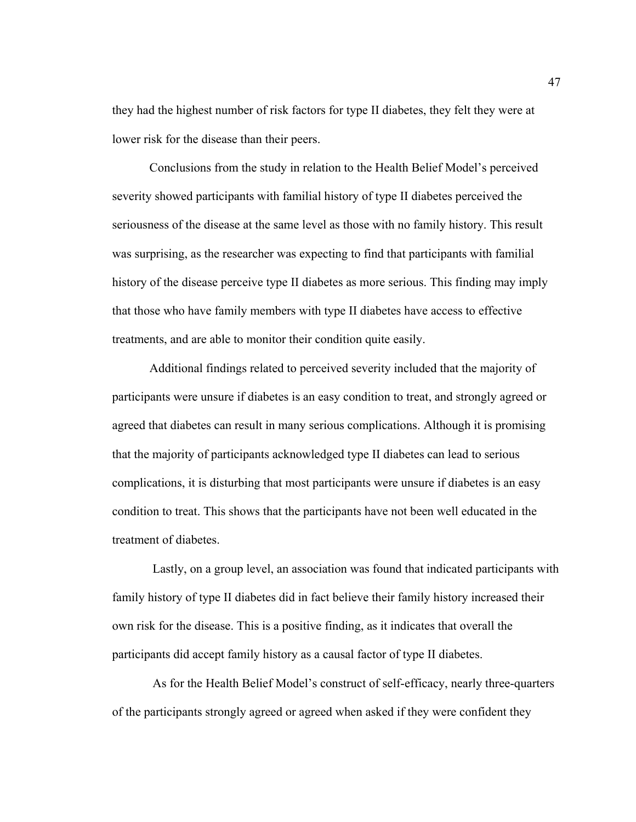they had the highest number of risk factors for type II diabetes, they felt they were at lower risk for the disease than their peers.

Conclusions from the study in relation to the Health Belief Model's perceived severity showed participants with familial history of type II diabetes perceived the seriousness of the disease at the same level as those with no family history. This result was surprising, as the researcher was expecting to find that participants with familial history of the disease perceive type II diabetes as more serious. This finding may imply that those who have family members with type II diabetes have access to effective treatments, and are able to monitor their condition quite easily.

Additional findings related to perceived severity included that the majority of participants were unsure if diabetes is an easy condition to treat, and strongly agreed or agreed that diabetes can result in many serious complications. Although it is promising that the majority of participants acknowledged type II diabetes can lead to serious complications, it is disturbing that most participants were unsure if diabetes is an easy condition to treat. This shows that the participants have not been well educated in the treatment of diabetes.

 Lastly, on a group level, an association was found that indicated participants with family history of type II diabetes did in fact believe their family history increased their own risk for the disease. This is a positive finding, as it indicates that overall the participants did accept family history as a causal factor of type II diabetes.

 As for the Health Belief Model's construct of self-efficacy, nearly three-quarters of the participants strongly agreed or agreed when asked if they were confident they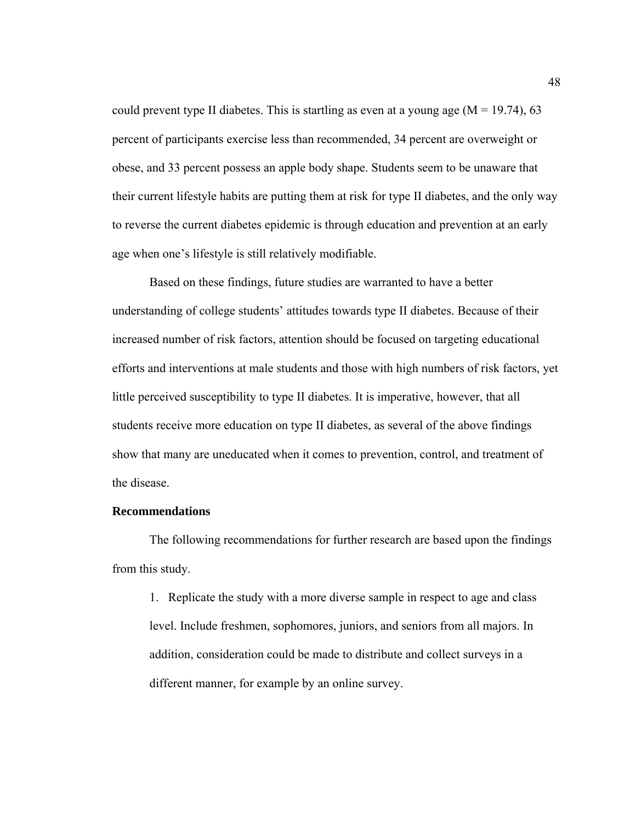could prevent type II diabetes. This is startling as even at a young age  $(M = 19.74)$ , 63 percent of participants exercise less than recommended, 34 percent are overweight or obese, and 33 percent possess an apple body shape. Students seem to be unaware that their current lifestyle habits are putting them at risk for type II diabetes, and the only way to reverse the current diabetes epidemic is through education and prevention at an early age when one's lifestyle is still relatively modifiable.

Based on these findings, future studies are warranted to have a better understanding of college students' attitudes towards type II diabetes. Because of their increased number of risk factors, attention should be focused on targeting educational efforts and interventions at male students and those with high numbers of risk factors, yet little perceived susceptibility to type II diabetes. It is imperative, however, that all students receive more education on type II diabetes, as several of the above findings show that many are uneducated when it comes to prevention, control, and treatment of the disease.

# **Recommendations**

The following recommendations for further research are based upon the findings from this study.

 1. Replicate the study with a more diverse sample in respect to age and class level. Include freshmen, sophomores, juniors, and seniors from all majors. In addition, consideration could be made to distribute and collect surveys in a different manner, for example by an online survey.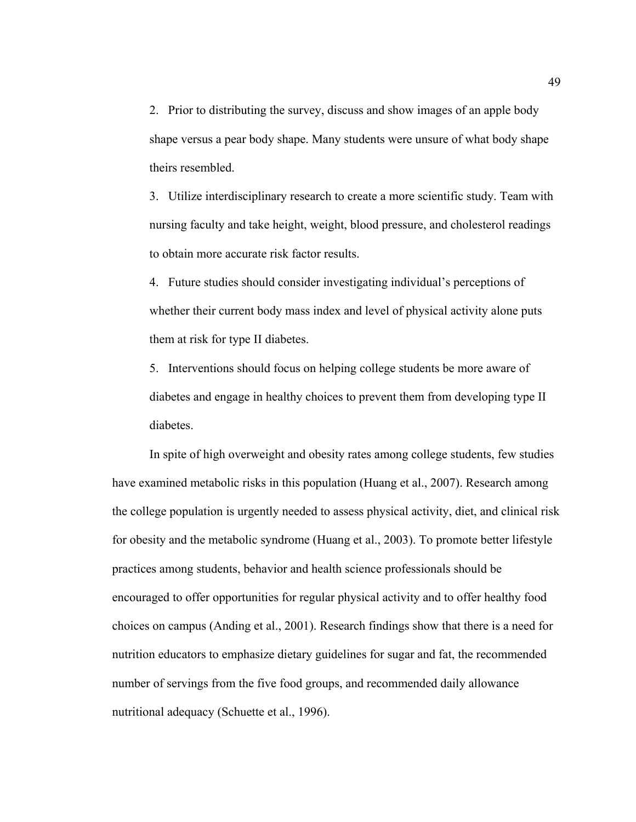2. Prior to distributing the survey, discuss and show images of an apple body shape versus a pear body shape. Many students were unsure of what body shape theirs resembled.

 3. Utilize interdisciplinary research to create a more scientific study. Team with nursing faculty and take height, weight, blood pressure, and cholesterol readings to obtain more accurate risk factor results.

 4. Future studies should consider investigating individual's perceptions of whether their current body mass index and level of physical activity alone puts them at risk for type II diabetes.

 5. Interventions should focus on helping college students be more aware of diabetes and engage in healthy choices to prevent them from developing type II diabetes.

 In spite of high overweight and obesity rates among college students, few studies have examined metabolic risks in this population (Huang et al., 2007). Research among the college population is urgently needed to assess physical activity, diet, and clinical risk for obesity and the metabolic syndrome (Huang et al., 2003). To promote better lifestyle practices among students, behavior and health science professionals should be encouraged to offer opportunities for regular physical activity and to offer healthy food choices on campus (Anding et al., 2001). Research findings show that there is a need for nutrition educators to emphasize dietary guidelines for sugar and fat, the recommended number of servings from the five food groups, and recommended daily allowance nutritional adequacy (Schuette et al., 1996).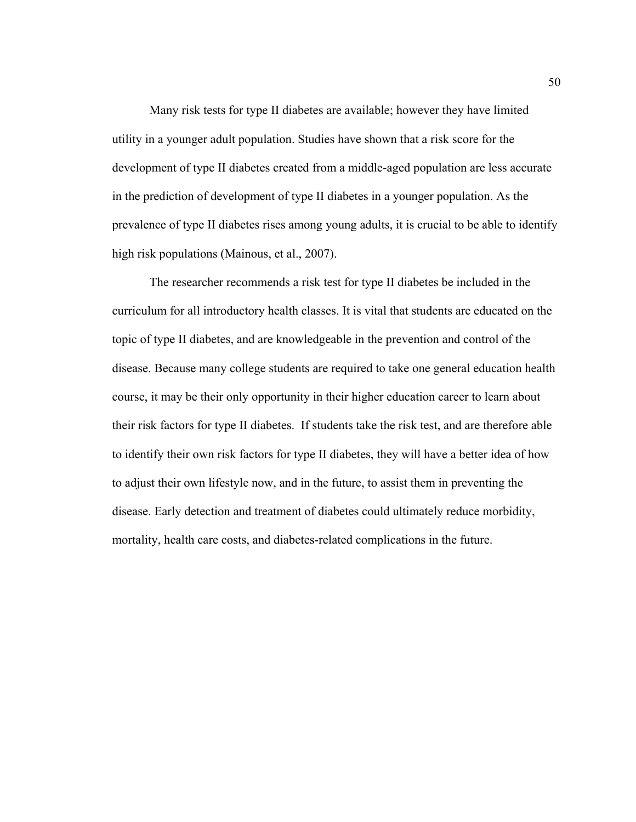Many risk tests for type II diabetes are available; however they have limited utility in a younger adult population. Studies have shown that a risk score for the development of type II diabetes created from a middle-aged population are less accurate in the prediction of development of type II diabetes in a younger population. As the prevalence of type II diabetes rises among young adults, it is crucial to be able to identify high risk populations (Mainous, et al., 2007).

 The researcher recommends a risk test for type II diabetes be included in the curriculum for all introductory health classes. It is vital that students are educated on the topic of type II diabetes, and are knowledgeable in the prevention and control of the disease. Because many college students are required to take one general education health course, it may be their only opportunity in their higher education career to learn about their risk factors for type II diabetes. If students take the risk test, and are therefore able to identify their own risk factors for type II diabetes, they will have a better idea of how to adjust their own lifestyle now, and in the future, to assist them in preventing the disease. Early detection and treatment of diabetes could ultimately reduce morbidity, mortality, health care costs, and diabetes-related complications in the future.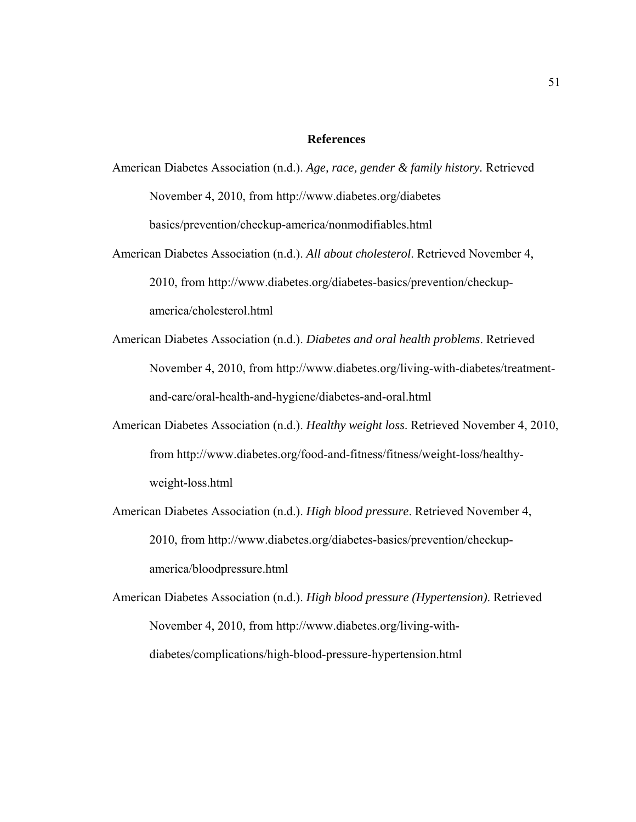#### **References**

- American Diabetes Association (n.d.). *Age, race, gender & family history.* Retrieved November 4, 2010, from http://www.diabetes.org/diabetes basics/prevention/checkup-america/nonmodifiables.html
- American Diabetes Association (n.d.). *All about cholesterol*. Retrieved November 4, 2010, from http://www.diabetes.org/diabetes-basics/prevention/checkup america/cholesterol.html
- American Diabetes Association (n.d.). *Diabetes and oral health problems*. Retrieved November 4, 2010, from http://www.diabetes.org/living-with-diabetes/treatment and-care/oral-health-and-hygiene/diabetes-and-oral.html
- American Diabetes Association (n.d.). *Healthy weight loss*. Retrieved November 4, 2010, from http://www.diabetes.org/food-and-fitness/fitness/weight-loss/healthy weight-loss.html
- American Diabetes Association (n.d.). *High blood pressure*. Retrieved November 4, 2010, from http://www.diabetes.org/diabetes-basics/prevention/checkup america/bloodpressure.html
- American Diabetes Association (n.d.). *High blood pressure (Hypertension)*. Retrieved November 4, 2010, from http://www.diabetes.org/living-with diabetes/complications/high-blood-pressure-hypertension.html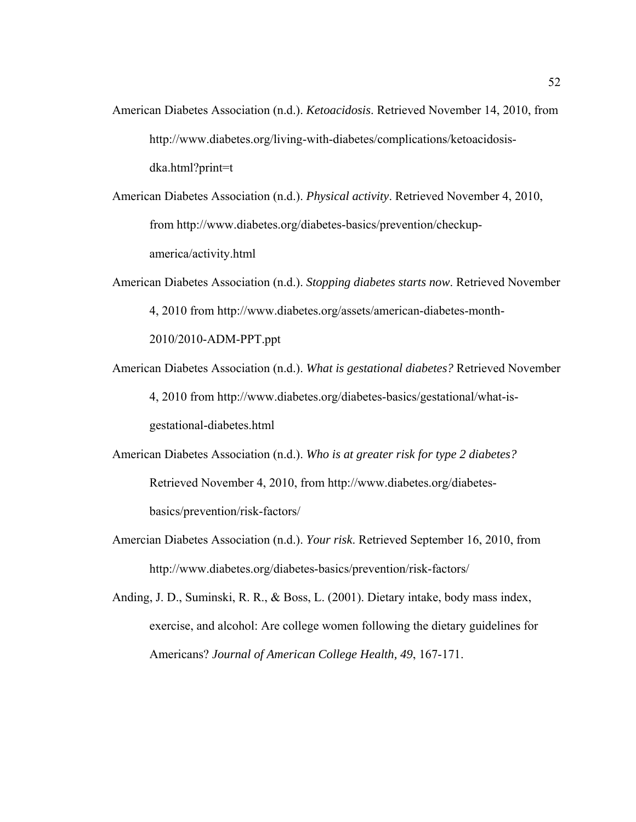- American Diabetes Association (n.d.). *Ketoacidosis*. Retrieved November 14, 2010, from http://www.diabetes.org/living-with-diabetes/complications/ketoacidosis dka.html?print=t
- American Diabetes Association (n.d.). *Physical activity*. Retrieved November 4, 2010, from http://www.diabetes.org/diabetes-basics/prevention/checkup america/activity.html
- American Diabetes Association (n.d.). *Stopping diabetes starts now*. Retrieved November 4, 2010 from http://www.diabetes.org/assets/american-diabetes-month- 2010/2010-ADM-PPT.ppt
- American Diabetes Association (n.d.). *What is gestational diabetes?* Retrieved November 4, 2010 from http://www.diabetes.org/diabetes-basics/gestational/what-is gestational-diabetes.html
- American Diabetes Association (n.d.). *Who is at greater risk for type 2 diabetes?* Retrieved November 4, 2010, from http://www.diabetes.org/diabetes basics/prevention/risk-factors/
- Amercian Diabetes Association (n.d.). *Your risk*. Retrieved September 16, 2010, from http://www.diabetes.org/diabetes-basics/prevention/risk-factors/
- Anding, J. D., Suminski, R. R., & Boss, L. (2001). Dietary intake, body mass index, exercise, and alcohol: Are college women following the dietary guidelines for Americans? *Journal of American College Health, 49*, 167-171.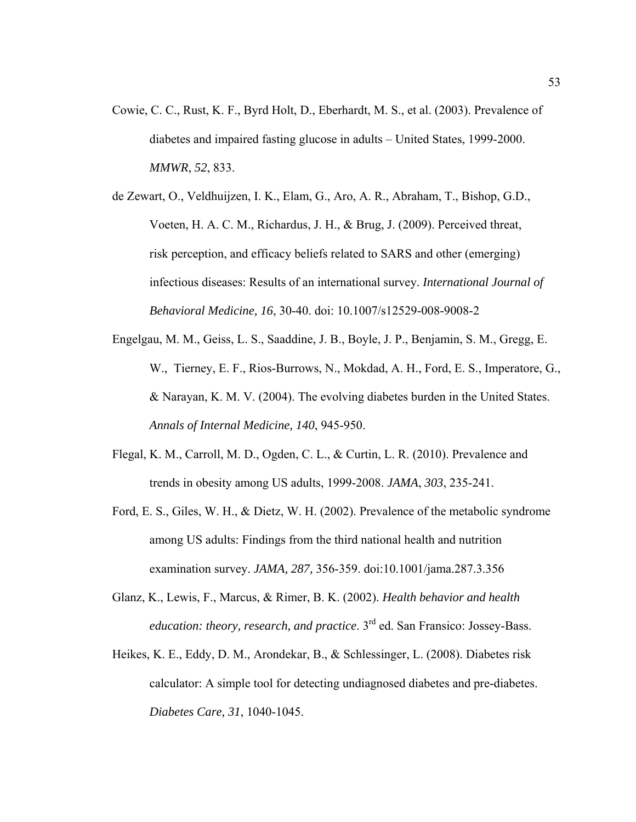- Cowie, C. C., Rust, K. F., Byrd Holt, D., Eberhardt, M. S., et al. (2003). Prevalence of diabetes and impaired fasting glucose in adults – United States, 1999-2000. *MMWR*, *52*, 833.
- de Zewart, O., Veldhuijzen, I. K., Elam, G., Aro, A. R., Abraham, T., Bishop, G.D., Voeten, H. A. C. M., Richardus, J. H., & Brug, J. (2009). Perceived threat, risk perception, and efficacy beliefs related to SARS and other (emerging) infectious diseases: Results of an international survey. *International Journal of Behavioral Medicine, 16*, 30-40. doi: 10.1007/s12529-008-9008-2
- Engelgau, M. M., Geiss, L. S., Saaddine, J. B., Boyle, J. P., Benjamin, S. M., Gregg, E. W., Tierney, E. F., Rios-Burrows, N., Mokdad, A. H., Ford, E. S., Imperatore, G., & Narayan, K. M. V. (2004). The evolving diabetes burden in the United States. *Annals of Internal Medicine, 140*, 945-950.
- Flegal, K. M., Carroll, M. D., Ogden, C. L., & Curtin, L. R. (2010). Prevalence and trends in obesity among US adults, 1999-2008. *JAMA*, *303*, 235-241.
- Ford, E. S., Giles, W. H., & Dietz, W. H. (2002). Prevalence of the metabolic syndrome among US adults: Findings from the third national health and nutrition examination survey. *JAMA, 287,* 356-359. doi:10.1001/jama.287.3.356
- Glanz, K., Lewis, F., Marcus, & Rimer, B. K. (2002). *Health behavior and health education: theory, research, and practice*. 3rd ed. San Fransico: Jossey-Bass.
- Heikes, K. E., Eddy, D. M., Arondekar, B., & Schlessinger, L. (2008). Diabetes risk calculator: A simple tool for detecting undiagnosed diabetes and pre-diabetes. *Diabetes Care, 31*, 1040-1045.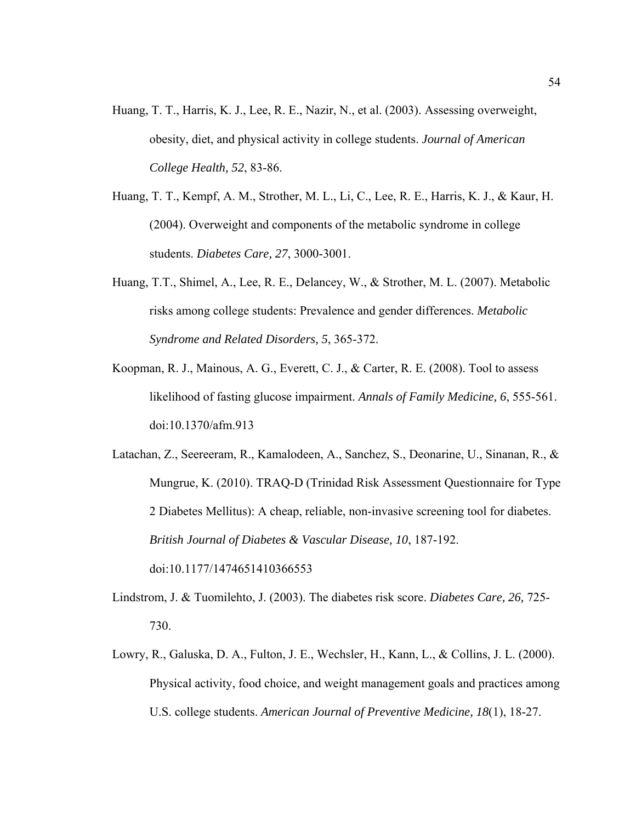- Huang, T. T., Harris, K. J., Lee, R. E., Nazir, N., et al. (2003). Assessing overweight, obesity, diet, and physical activity in college students. *Journal of American College Health, 52*, 83-86.
- Huang, T. T., Kempf, A. M., Strother, M. L., Li, C., Lee, R. E., Harris, K. J., & Kaur, H. (2004). Overweight and components of the metabolic syndrome in college students. *Diabetes Care, 27*, 3000-3001.
- Huang, T.T., Shimel, A., Lee, R. E., Delancey, W., & Strother, M. L. (2007). Metabolic risks among college students: Prevalence and gender differences. *Metabolic Syndrome and Related Disorders, 5*, 365-372.
- Koopman, R. J., Mainous, A. G., Everett, C. J., & Carter, R. E. (2008). Tool to assess likelihood of fasting glucose impairment. *Annals of Family Medicine, 6*, 555-561. doi:10.1370/afm.913
- Latachan, Z., Seereeram, R., Kamalodeen, A., Sanchez, S., Deonarine, U., Sinanan, R., & Mungrue, K. (2010). TRAQ-D (Trinidad Risk Assessment Questionnaire for Type 2 Diabetes Mellitus): A cheap, reliable, non-invasive screening tool for diabetes. *British Journal of Diabetes & Vascular Disease, 10*, 187-192. doi:10.1177/1474651410366553
- Lindstrom, J. & Tuomilehto, J. (2003). The diabetes risk score. *Diabetes Care, 26,* 725- 730.
- Lowry, R., Galuska, D. A., Fulton, J. E., Wechsler, H., Kann, L., & Collins, J. L. (2000). Physical activity, food choice, and weight management goals and practices among U.S. college students. *American Journal of Preventive Medicine, 18*(1), 18-27.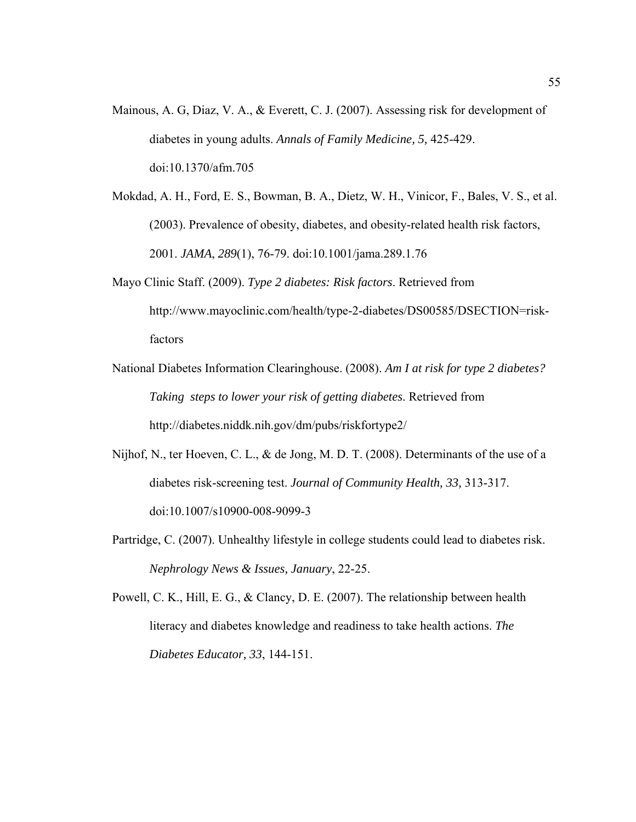- Mainous, A. G, Diaz, V. A., & Everett, C. J. (2007). Assessing risk for development of diabetes in young adults. *Annals of Family Medicine, 5,* 425-429. doi:10.1370/afm.705
- Mokdad, A. H., Ford, E. S., Bowman, B. A., Dietz, W. H., Vinicor, F., Bales, V. S., et al. (2003). Prevalence of obesity, diabetes, and obesity-related health risk factors, 2001. *JAMA*, *289*(1), 76-79. doi:10.1001/jama.289.1.76
- Mayo Clinic Staff. (2009). *Type 2 diabetes: Risk factors*. Retrieved from http://www.mayoclinic.com/health/type-2-diabetes/DS00585/DSECTION=risk factors
- National Diabetes Information Clearinghouse. (2008). *Am I at risk for type 2 diabetes? Taking steps to lower your risk of getting diabetes*. Retrieved from http://diabetes.niddk.nih.gov/dm/pubs/riskfortype2/
- Nijhof, N., ter Hoeven, C. L., & de Jong, M. D. T. (2008). Determinants of the use of a diabetes risk-screening test. *Journal of Community Health, 33,* 313-317. doi:10.1007/s10900-008-9099-3
- Partridge, C. (2007). Unhealthy lifestyle in college students could lead to diabetes risk. *Nephrology News & Issues, January*, 22-25.

Powell, C. K., Hill, E. G., & Clancy, D. E. (2007). The relationship between health literacy and diabetes knowledge and readiness to take health actions. *The Diabetes Educator, 33*, 144-151.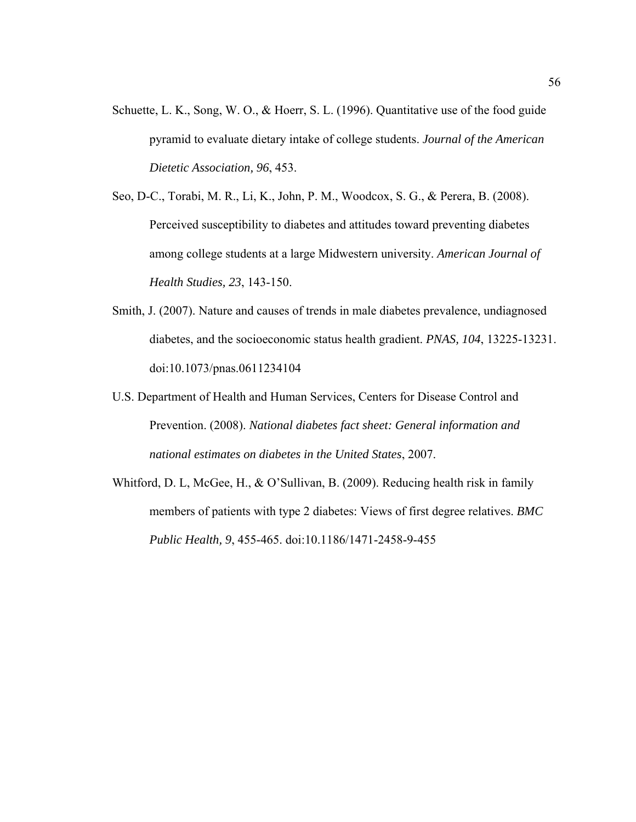- Schuette, L. K., Song, W. O., & Hoerr, S. L. (1996). Quantitative use of the food guide pyramid to evaluate dietary intake of college students. *Journal of the American Dietetic Association, 96*, 453.
- Seo, D-C., Torabi, M. R., Li, K., John, P. M., Woodcox, S. G., & Perera, B. (2008). Perceived susceptibility to diabetes and attitudes toward preventing diabetes among college students at a large Midwestern university. *American Journal of Health Studies, 23*, 143-150.
- Smith, J. (2007). Nature and causes of trends in male diabetes prevalence, undiagnosed diabetes, and the socioeconomic status health gradient. *PNAS, 104*, 13225-13231. doi:10.1073/pnas.0611234104
- U.S. Department of Health and Human Services, Centers for Disease Control and Prevention. (2008). *National diabetes fact sheet: General information and national estimates on diabetes in the United States*, 2007.
- Whitford, D. L, McGee, H., & O'Sullivan, B. (2009). Reducing health risk in family members of patients with type 2 diabetes: Views of first degree relatives. *BMC Public Health, 9*, 455-465. doi:10.1186/1471-2458-9-455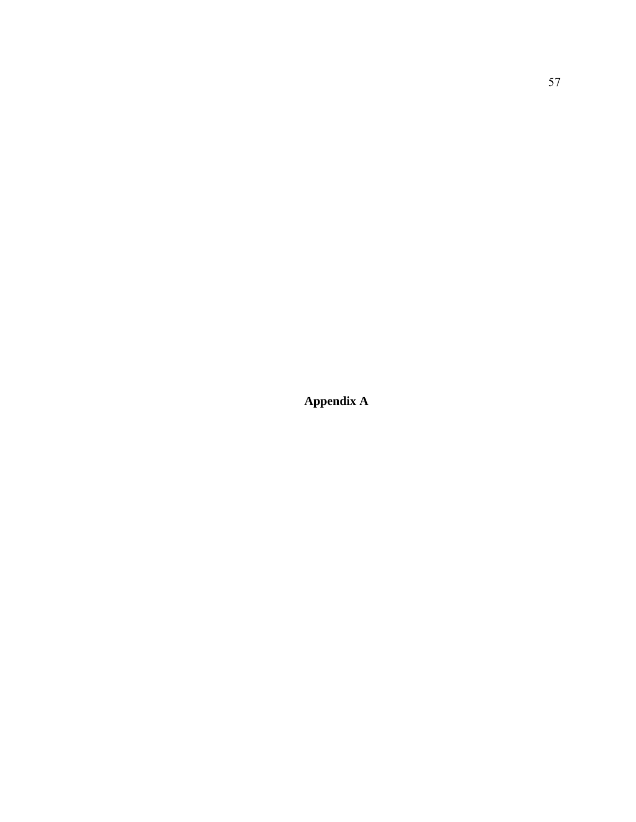**Appendix A**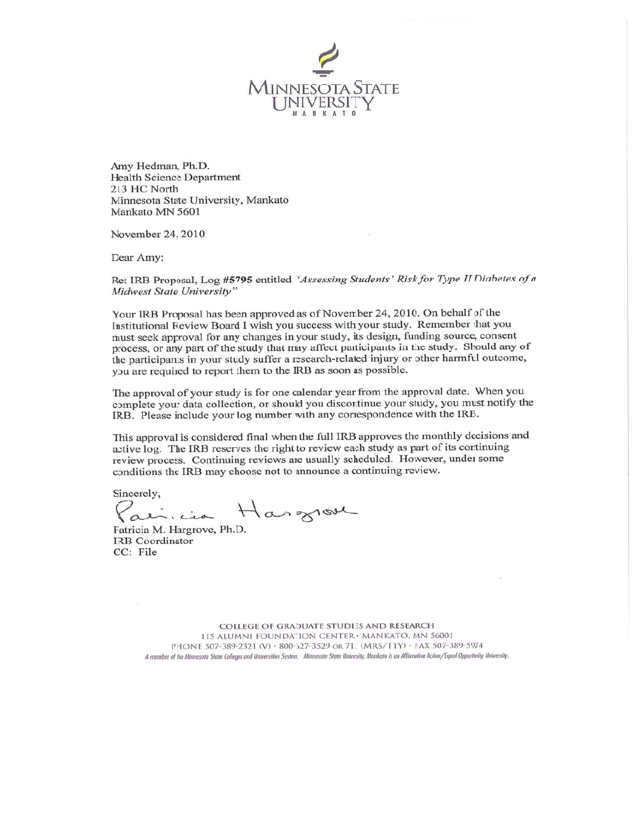unnesota State niversit

Amy Hedman, Ph.D. **Health Science Department** 213 HC North Minnesota State University, Mankato Mankato MN 5601

November 24, 2010

Dear Amy:

Re: IRB Proposal, Log #5795 entitled "Assessing Students' Risk for Type II Diabetes of a Midwest State University"

Your IRB Proposal has been approved as of November 24, 2010. On behalf of the Institutional Review Board I wish you success with your study. Remember that you must seek approval for any changes in your study, its design, funding source, consent process, or any part of the study that may affect participants in the study. Should any of the participants in your study suffer a research-related injury or other harmful outcome, you are required to report them to the IRB as soon as possible.

The approval of your study is for one calendar year from the approval date. When you complete your data collection, or should you discontinue your study, you must notify the IRB. Please include your log number with any correspondence with the IRB.

This approval is considered final when the full IRB approves the monthly decisions and active log. The IRB reserves the right to review each study as part of its continuing review process. Continuing reviews are usually scheduled. However, under some conditions the IRB may choose not to announce a continuing review.

Sincerely,

incia Hargrove

Patricia M. Hargrove, Ph.D. **IRB** Coordinator CC: File

COLLEGE OF GRADUATE STUDIES AND RESEARCH 115 ALUMNI FOUNDATION CENTER · MANKATO, MN 56001 PHONE 507-389-2321 (V) · 800-627-3529 OR 711 (MRS/TTY) · FAX 507-389-5974 A member of the Minnesota State Colleges and Universities System. Minnesota State University, Mankato is an Affirmative Action/Equal Opportunity University.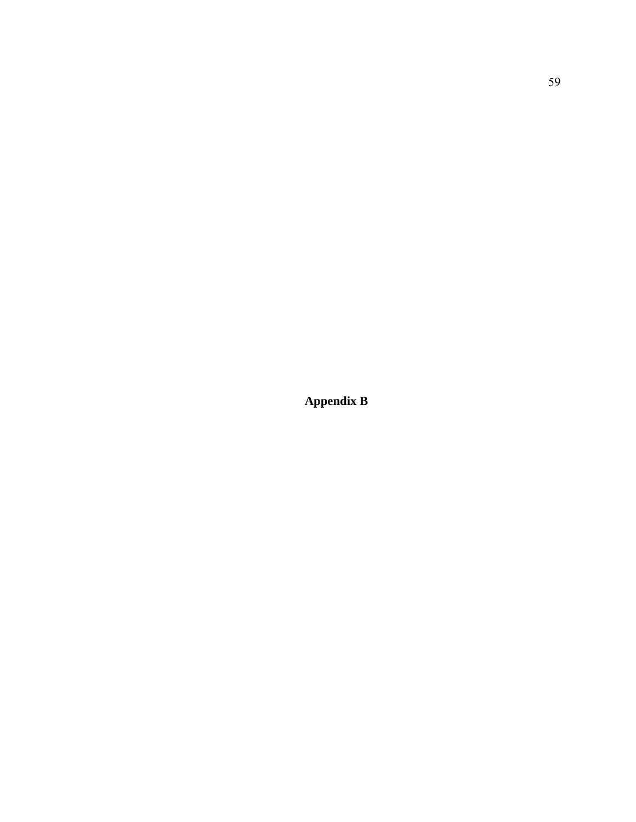**Appendix B**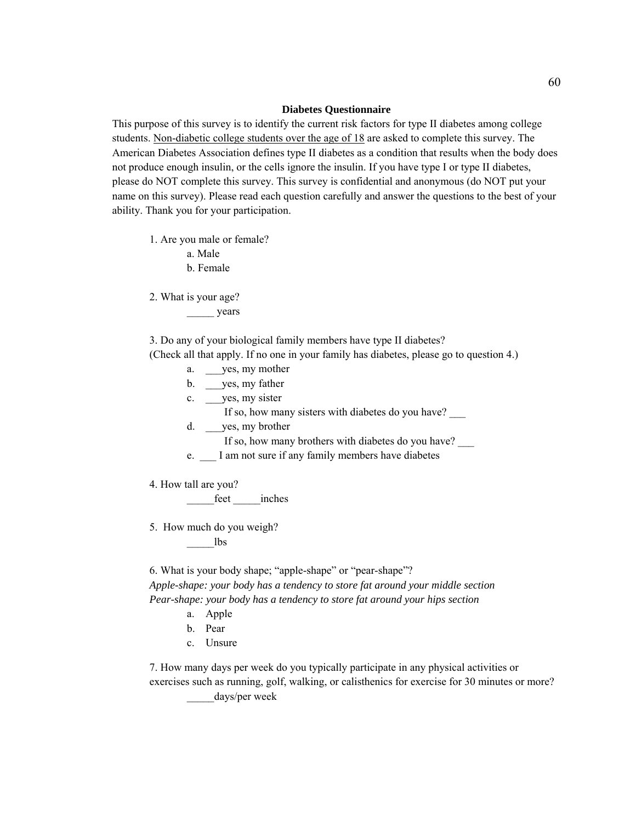#### **Diabetes Questionnaire**

This purpose of this survey is to identify the current risk factors for type II diabetes among college students. Non-diabetic college students over the age of 18 are asked to complete this survey. The American Diabetes Association defines type II diabetes as a condition that results when the body does not produce enough insulin, or the cells ignore the insulin. If you have type I or type II diabetes, please do NOT complete this survey. This survey is confidential and anonymous (do NOT put your name on this survey). Please read each question carefully and answer the questions to the best of your ability. Thank you for your participation.

1. Are you male or female?

a. Male

b. Female

2. What is your age?

years

3. Do any of your biological family members have type II diabetes?

(Check all that apply. If no one in your family has diabetes, please go to question 4.)



5. How much do you weigh?

\_\_\_\_\_lbs

6. What is your body shape; "apple-shape" or "pear-shape"? *Apple-shape: your body has a tendency to store fat around your middle section Pear-shape: your body has a tendency to store fat around your hips section* 

- a. Apple
- b. Pear
- c. Unsure

7. How many days per week do you typically participate in any physical activities or exercises such as running, golf, walking, or calisthenics for exercise for 30 minutes or more? days/per week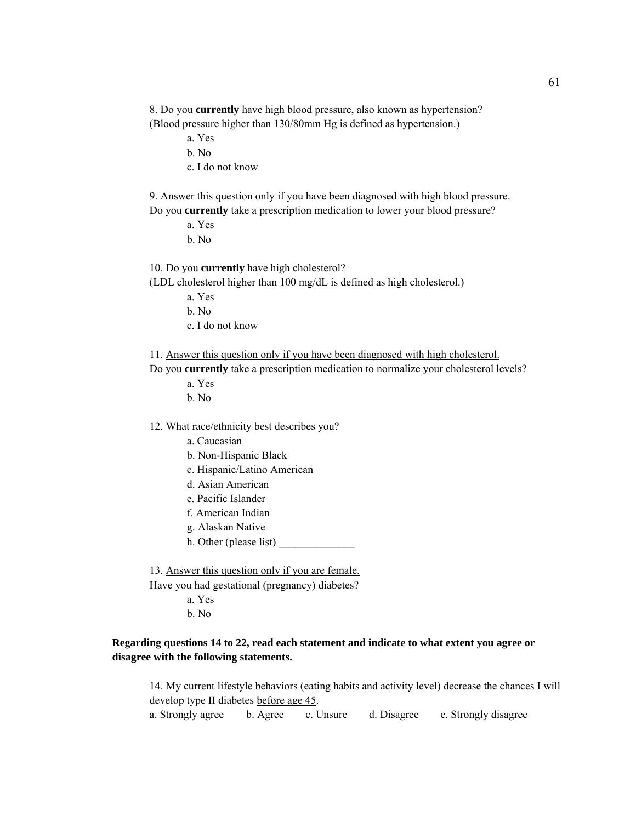8. Do you **currently** have high blood pressure, also known as hypertension? (Blood pressure higher than 130/80mm Hg is defined as hypertension.)

- a. Yes
- b. No
- c. I do not know

9. Answer this question only if you have been diagnosed with high blood pressure.

Do you **currently** take a prescription medication to lower your blood pressure?

- a. Yes
- b. No

10. Do you **currently** have high cholesterol?

(LDL cholesterol higher than 100 mg/dL is defined as high cholesterol.)

- a. Yes
- b. No
- c. I do not know

11. Answer this question only if you have been diagnosed with high cholesterol.

Do you **currently** take a prescription medication to normalize your cholesterol levels?

- a. Yes
- b. No

12. What race/ethnicity best describes you?

- a. Caucasian
- b. Non-Hispanic Black
- c. Hispanic/Latino American
- d. Asian American
- e. Pacific Islander
- f. American Indian
- g. Alaskan Native
- h. Other (please list) \_\_\_\_\_\_\_\_\_\_\_\_\_\_

 13. Answer this question only if you are female. Have you had gestational (pregnancy) diabetes?

- a. Yes
- b. No

# **Regarding questions 14 to 22, read each statement and indicate to what extent you agree or disagree with the following statements.**

 14. My current lifestyle behaviors (eating habits and activity level) decrease the chances I will develop type II diabetes before age 45.

a. Strongly agree b. Agree c. Unsure d. Disagree e. Strongly disagree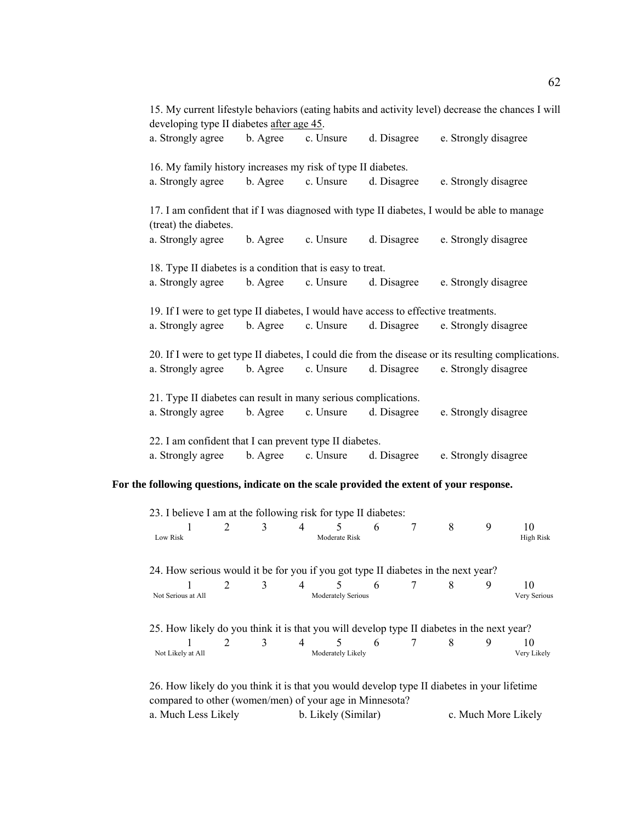|                                                                                     |          |           |             | 15. My current lifestyle behaviors (eating habits and activity level) decrease the chances I will   |  |  |  |  |
|-------------------------------------------------------------------------------------|----------|-----------|-------------|-----------------------------------------------------------------------------------------------------|--|--|--|--|
| developing type II diabetes after age 45.                                           |          |           |             |                                                                                                     |  |  |  |  |
| a. Strongly agree                                                                   | b. Agree | c. Unsure | d. Disagree | e. Strongly disagree                                                                                |  |  |  |  |
| 16. My family history increases my risk of type II diabetes.                        |          |           |             |                                                                                                     |  |  |  |  |
| a. Strongly agree                                                                   | b. Agree | c. Unsure | d. Disagree | e. Strongly disagree                                                                                |  |  |  |  |
| (treat) the diabetes.                                                               |          |           |             | 17. I am confident that if I was diagnosed with type II diabetes, I would be able to manage         |  |  |  |  |
| a. Strongly agree                                                                   | b. Agree | c. Unsure | d. Disagree | e. Strongly disagree                                                                                |  |  |  |  |
| 18. Type II diabetes is a condition that is easy to treat.                          |          |           |             |                                                                                                     |  |  |  |  |
| a. Strongly agree                                                                   | b. Agree | c. Unsure | d. Disagree | e. Strongly disagree                                                                                |  |  |  |  |
| 19. If I were to get type II diabetes, I would have access to effective treatments. |          |           |             |                                                                                                     |  |  |  |  |
| a. Strongly agree                                                                   | b. Agree | c. Unsure | d. Disagree | e. Strongly disagree                                                                                |  |  |  |  |
|                                                                                     |          |           |             | 20. If I were to get type II diabetes, I could die from the disease or its resulting complications. |  |  |  |  |
| a. Strongly agree                                                                   | b. Agree | c. Unsure | d. Disagree | e. Strongly disagree                                                                                |  |  |  |  |
| 21. Type II diabetes can result in many serious complications.                      |          |           |             |                                                                                                     |  |  |  |  |
| a. Strongly agree                                                                   | b. Agree | c. Unsure | d. Disagree | e. Strongly disagree                                                                                |  |  |  |  |
| 22. I am confident that I can prevent type II diabetes.                             |          |           |             |                                                                                                     |  |  |  |  |
| a. Strongly agree                                                                   | b. Agree | c. Unsure | d. Disagree | e. Strongly disagree                                                                                |  |  |  |  |

# **For the following questions, indicate on the scale provided the extent of your response.**

|                                                                                   | 2           | 3 | 4                                                                                          | 5                      | 6 | 7 | 8 | 9 | 10                |
|-----------------------------------------------------------------------------------|-------------|---|--------------------------------------------------------------------------------------------|------------------------|---|---|---|---|-------------------|
| Low Risk                                                                          |             |   |                                                                                            | Moderate Risk          |   |   |   |   | High Risk         |
| 24. How serious would it be for you if you got type II diabetes in the next year? |             |   |                                                                                            |                        |   |   |   |   |                   |
|                                                                                   | 2           | 3 | 4                                                                                          | 5.                     | 6 |   | 8 | 9 | 10                |
| Not Serious at All                                                                |             |   |                                                                                            | Moderately Serious     |   |   |   |   | Very Serious      |
|                                                                                   |             |   | 25. How likely do you think it is that you will develop type II diabetes in the next year? |                        |   |   |   |   |                   |
| Not Likely at All                                                                 | $2^{\circ}$ | 3 | $\overline{4}$                                                                             | 5<br>Moderately Likely | 6 |   | 8 | 9 | 10<br>Very Likely |

compared to other (women/men) of your age in Minnesota? a. Much Less Likely b. Likely (Similar) c. Much More Likely